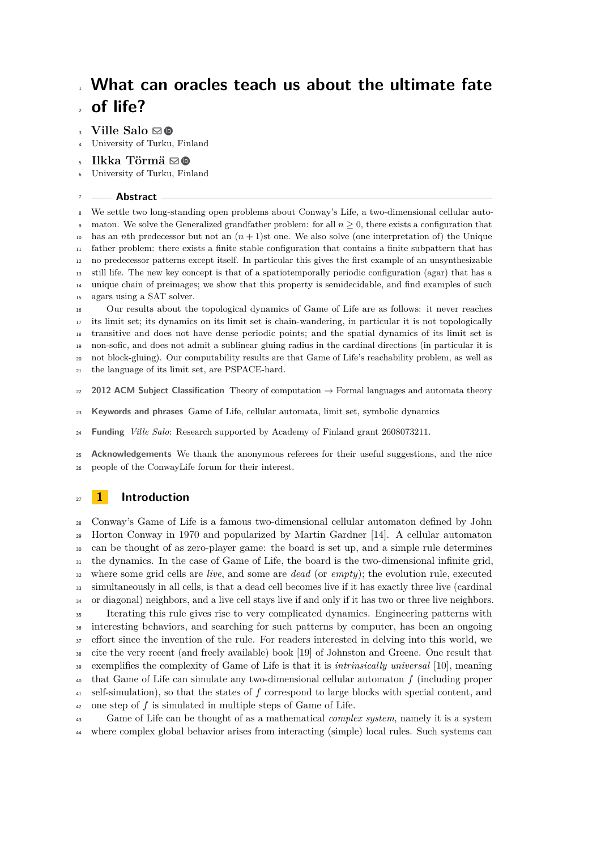# **Ville Salo** ⊠<sup>®</sup>

University of Turku, Finland

Ilkka Törmä ⊠**®** 

University of Turku, Finland

## **Abstract**

 We settle two long-standing open problems about Conway's Life, a two-dimensional cellular auto- maton. We solve the Generalized grandfather problem: for all  $n \geq 0$ , there exists a configuration that has an *n*th predecessor but not an (*n* + 1)st one. We also solve (one interpretation of) the Unique father problem: there exists a finite stable configuration that contains a finite subpattern that has no predecessor patterns except itself. In particular this gives the first example of an unsynthesizable still life. The new key concept is that of a spatiotemporally periodic configuration (agar) that has a unique chain of preimages; we show that this property is semidecidable, and find examples of such agars using a SAT solver.

 Our results about the topological dynamics of Game of Life are as follows: it never reaches its limit set; its dynamics on its limit set is chain-wandering, in particular it is not topologically transitive and does not have dense periodic points; and the spatial dynamics of its limit set is non-sofic, and does not admit a sublinear gluing radius in the cardinal directions (in particular it is not block-gluing). Our computability results are that Game of Life's reachability problem, as well as the language of its limit set, are PSPACE-hard.

**2012 ACM Subject Classification** Theory of computation → Formal languages and automata theory

**Keywords and phrases** Game of Life, cellular automata, limit set, symbolic dynamics

**Funding** *Ville Salo*: Research supported by Academy of Finland grant 2608073211.

 **Acknowledgements** We thank the anonymous referees for their useful suggestions, and the nice people of the ConwayLife forum for their interest.

# **1 Introduction**

 Conway's Game of Life is a famous two-dimensional cellular automaton defined by John Horton Conway in 1970 and popularized by Martin Gardner [\[14\]](#page-19-0). A cellular automaton can be thought of as zero-player game: the board is set up, and a simple rule determines the dynamics. In the case of Game of Life, the board is the two-dimensional infinite grid, where some grid cells are *live*, and some are *dead* (or *empty*); the evolution rule, executed simultaneously in all cells, is that a dead cell becomes live if it has exactly three live (cardinal or diagonal) neighbors, and a live cell stays live if and only if it has two or three live neighbors. Iterating this rule gives rise to very complicated dynamics. Engineering patterns with interesting behaviors, and searching for such patterns by computer, has been an ongoing <sup>37</sup> effort since the invention of the rule. For readers interested in delving into this world, we cite the very recent (and freely available) book [\[19\]](#page-19-1) of Johnston and Greene. One result that exemplifies the complexity of Game of Life is that it is *intrinsically universal* [\[10\]](#page-18-0), meaning that Game of Life can simulate any two-dimensional cellular automaton *f* (including proper self-simulation), so that the states of *f* correspond to large blocks with special content, and one step of *f* is simulated in multiple steps of Game of Life.

 Game of Life can be thought of as a mathematical *complex system*, namely it is a system where complex global behavior arises from interacting (simple) local rules. Such systems can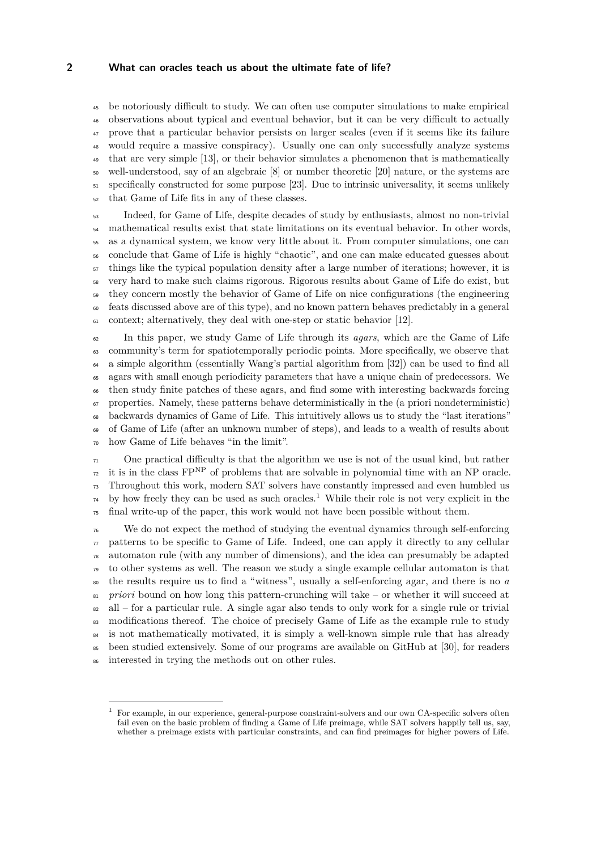be notoriously difficult to study. We can often use computer simulations to make empirical observations about typical and eventual behavior, but it can be very difficult to actually prove that a particular behavior persists on larger scales (even if it seems like its failure would require a massive conspiracy). Usually one can only successfully analyze systems that are very simple [\[13\]](#page-19-2), or their behavior simulates a phenomenon that is mathematically well-understood, say of an algebraic [\[8\]](#page-18-1) or number theoretic [\[20\]](#page-19-3) nature, or the systems are specifically constructed for some purpose [\[23\]](#page-19-4). Due to intrinsic universality, it seems unlikely that Game of Life fits in any of these classes.

 Indeed, for Game of Life, despite decades of study by enthusiasts, almost no non-trivial <sup>54</sup> mathematical results exist that state limitations on its eventual behavior. In other words, as a dynamical system, we know very little about it. From computer simulations, one can conclude that Game of Life is highly "chaotic", and one can make educated guesses about things like the typical population density after a large number of iterations; however, it is very hard to make such claims rigorous. Rigorous results about Game of Life do exist, but they concern mostly the behavior of Game of Life on nice configurations (the engineering feats discussed above are of this type), and no known pattern behaves predictably in a general context; alternatively, they deal with one-step or static behavior [\[12\]](#page-18-2).

 In this paper, we study Game of Life through its *agars*, which are the Game of Life community's term for spatiotemporally periodic points. More specifically, we observe that a simple algorithm (essentially Wang's partial algorithm from [\[32\]](#page-19-5)) can be used to find all agars with small enough periodicity parameters that have a unique chain of predecessors. We then study finite patches of these agars, and find some with interesting backwards forcing properties. Namely, these patterns behave deterministically in the (a priori nondeterministic) backwards dynamics of Game of Life. This intuitively allows us to study the "last iterations" of Game of Life (after an unknown number of steps), and leads to a wealth of results about how Game of Life behaves "in the limit".

 One practical difficulty is that the algorithm we use is not of the usual kind, but rather  $\mu$  it is in the class FP<sup>NP</sup> of problems that are solvable in polynomial time with an NP oracle. Throughout this work, modern SAT solvers have constantly impressed and even humbled us  $\gamma$ <sup>4</sup> by how freely they can be used as such oracles.<sup>[1](#page-1-0)</sup> While their role is not very explicit in the final write-up of the paper, this work would not have been possible without them.

 We do not expect the method of studying the eventual dynamics through self-enforcing  $\pi$  patterns to be specific to Game of Life. Indeed, one can apply it directly to any cellular automaton rule (with any number of dimensions), and the idea can presumably be adapted to other systems as well. The reason we study a single example cellular automaton is that the results require us to find a "witness", usually a self-enforcing agar, and there is no *a priori* bound on how long this pattern-crunching will take – or whether it will succeed at  $\text{all}$  – for a particular rule. A single agar also tends to only work for a single rule or trivial <sup>83</sup> modifications thereof. The choice of precisely Game of Life as the example rule to study <sup>84</sup> is not mathematically motivated, it is simply a well-known simple rule that has already been studied extensively. Some of our programs are available on GitHub at [\[30\]](#page-19-6), for readers interested in trying the methods out on other rules.

<span id="page-1-0"></span> For example, in our experience, general-purpose constraint-solvers and our own CA-specific solvers often fail even on the basic problem of finding a Game of Life preimage, while SAT solvers happily tell us, say, whether a preimage exists with particular constraints, and can find preimages for higher powers of Life.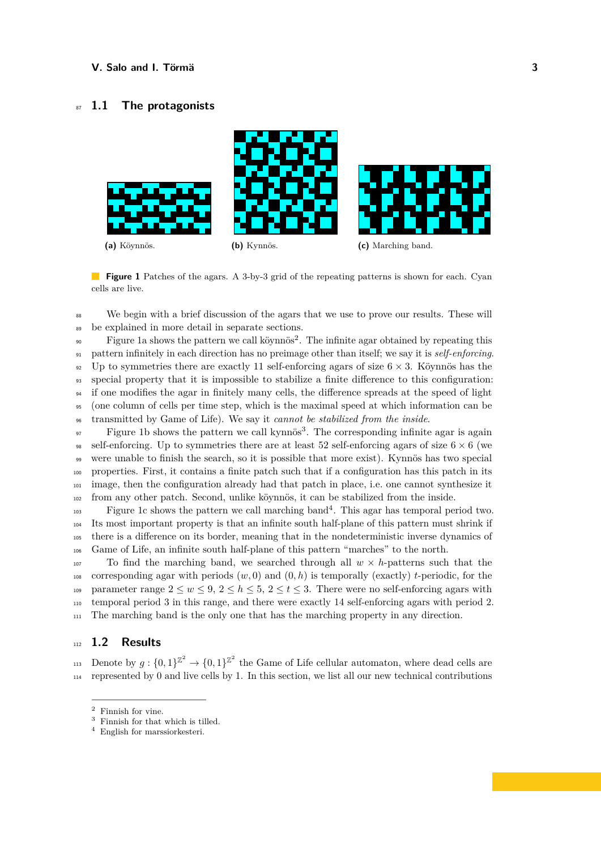# <sup>87</sup> **1.1 The protagonists**

<span id="page-2-0"></span>

**Figure 1** Patches of the agars. A 3-by-3 grid of the repeating patterns is shown for each. Cyan cells are live.

<sup>88</sup> We begin with a brief discussion of the agars that we use to prove our results. These will <sup>89</sup> be explained in more detail in separate sections.

<sup>90</sup> Figure [1a](#page-2-0) shows the pattern we call köynnös<sup>[2](#page-2-1)</sup>. The infinite agar obtained by repeating this <sup>91</sup> pattern infinitely in each direction has no preimage other than itself; we say it is *self-enforcing*. 92 Up to symmetries there are exactly 11 self-enforcing agars of size  $6 \times 3$ . Köynnös has the <sup>93</sup> special property that it is impossible to stabilize a finite difference to this configuration: <sup>94</sup> if one modifies the agar in finitely many cells, the difference spreads at the speed of light <sup>95</sup> (one column of cells per time step, which is the maximal speed at which information can be <sup>96</sup> transmitted by Game of Life). We say it *cannot be stabilized from the inside*.

 $\mathcal{F}_9$  Figure [1b](#page-2-0) shows the pattern we call kynnös<sup>[3](#page-2-2)</sup>. The corresponding infinite agar is again 98 self-enforcing. Up to symmetries there are at least 52 self-enforcing agars of size  $6 \times 6$  (we were unable to finish the search, so it is possible that more exist). Kynnös has two special properties. First, it contains a finite patch such that if a configuration has this patch in its image, then the configuration already had that patch in place, i.e. one cannot synthesize it from any other patch. Second, unlike köynnös, it can be stabilized from the inside.

103 Figure [1c](#page-2-0) shows the pattern we call marching band<sup>[4](#page-2-3)</sup>. This agar has temporal period two. Its most important property is that an infinite south half-plane of this pattern must shrink if there is a difference on its border, meaning that in the nondeterministic inverse dynamics of Game of Life, an infinite south half-plane of this pattern "marches" to the north.

107 To find the marching band, we searched through all  $w \times h$ -patterns such that the 108 corresponding agar with periods  $(w, 0)$  and  $(0, h)$  is temporally (exactly) *t*-periodic, for the 109 parameter range  $2 \leq w \leq 9$ ,  $2 \leq h \leq 5$ ,  $2 \leq t \leq 3$ . There were no self-enforcing agars with <sup>110</sup> temporal period 3 in this range, and there were exactly 14 self-enforcing agars with period 2. <sup>111</sup> The marching band is the only one that has the marching property in any direction.

# <sup>112</sup> **1.2 Results**

113 Denote by  $g: \{0,1\}^{\mathbb{Z}^2} \to \{0,1\}^{\mathbb{Z}^2}$  the Game of Life cellular automaton, where dead cells are  $_{114}$  represented by 0 and live cells by 1. In this section, we list all our new technical contributions

<span id="page-2-1"></span><sup>&</sup>lt;sup>2</sup> Finnish for vine.<br> $\frac{3}{5}$  Finnish for that

<span id="page-2-2"></span>Finnish for that which is tilled.

<span id="page-2-3"></span><sup>4</sup> English for marssiorkesteri.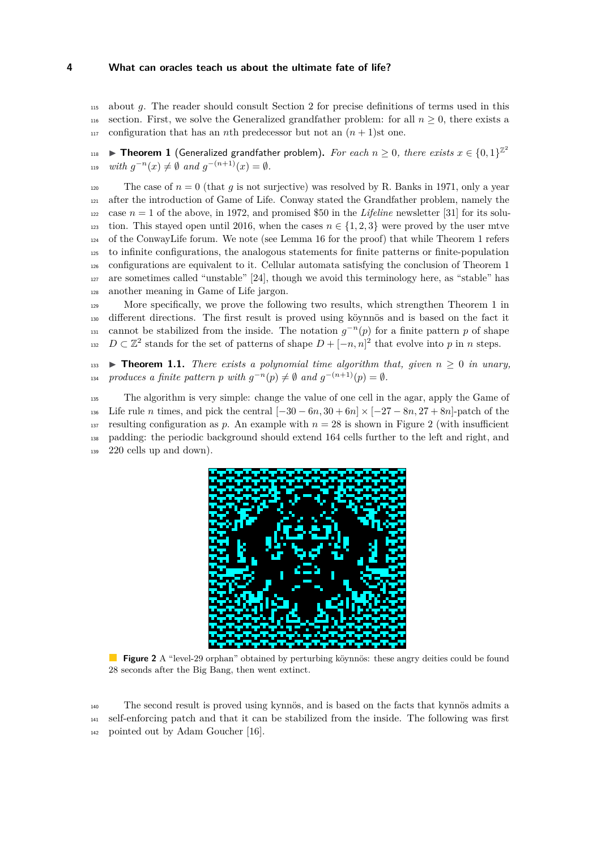<sup>115</sup> about *g*. The reader should consult Section [2](#page-5-0) for precise definitions of terms used in this 116 section. First, we solve the Generalized grandfather problem: for all  $n \geq 0$ , there exists a 117 configuration that has an *n*th predecessor but not an  $(n + 1)$ st one.

<span id="page-3-0"></span>▶ Theorem 1 (Generalized grandfather problem). For each  $n \geq 0$ , there exists  $x \in \{0,1\}^{\mathbb{Z}^2}$ 118  $u_1 = w$  *with*  $g^{-n}(x) \neq \emptyset$  and  $g^{-(n+1)}(x) = \emptyset$ .

120 The case of  $n = 0$  (that q is not surjective) was resolved by R. Banks in 1971, only a year after the introduction of Game of Life. Conway stated the Grandfather problem, namely the 122 case  $n = 1$  of the above, in 1972, and promised \$50 in the *Lifeline* newsletter [\[31\]](#page-19-7) for its solu-123 tion. This stayed open until 2016, when the cases  $n \in \{1, 2, 3\}$  were proved by the user mtve of the ConwayLife forum. We note (see Lemma [16](#page-9-0) for the proof) that while Theorem [1](#page-3-0) refers to infinite configurations, the analogous statements for finite patterns or finite-population configurations are equivalent to it. Cellular automata satisfying the conclusion of Theorem [1](#page-3-0) are sometimes called "unstable" [\[24\]](#page-19-8), though we avoid this terminology here, as "stable" has another meaning in Game of Life jargon.

<sup>129</sup> More specifically, we prove the following two results, which strengthen Theorem [1](#page-3-0) in <sup>130</sup> different directions. The first result is proved using köynnös and is based on the fact it cannot be stabilized from the inside. The notation  $g^{-n}(p)$  for a finite pattern *p* of shape  $D \subset \mathbb{Z}^2$  stands for the set of patterns of shape  $D + (-n, n]^2$  that evolve into *p* in *n* steps.

<span id="page-3-2"></span>133 **I Theorem 1.1.** *There exists a polynomial time algorithm that, given*  $n \geq 0$  *in unary, produces a finite pattern*  $p$  *with*  $g^{-n}(p) \neq \emptyset$  *and*  $g^{-(n+1)}(p) = \emptyset$ *.* 

<span id="page-3-1"></span><sup>135</sup> The algorithm is very simple: change the value of one cell in the agar, apply the Game of 136 Life rule *n* times, and pick the central  $[-30 - 6n, 30 + 6n] \times [-27 - 8n, 27 + 8n]$ -patch of the 137 resulting configuration as p. An example with  $n = 28$  $n = 28$  $n = 28$  is shown in Figure 2 (with insufficient <sup>138</sup> padding: the periodic background should extend 164 cells further to the left and right, and <sup>139</sup> 220 cells up and down).



**Figure 2** A "level-29 orphan" obtained by perturbing köynnös: these angry deities could be found 28 seconds after the Big Bang, then went extinct.

<span id="page-3-3"></span><sup>140</sup> The second result is proved using kynnös, and is based on the facts that kynnös admits a <sup>141</sup> self-enforcing patch and that it can be stabilized from the inside. The following was first <sup>142</sup> pointed out by Adam Goucher [\[16\]](#page-19-9).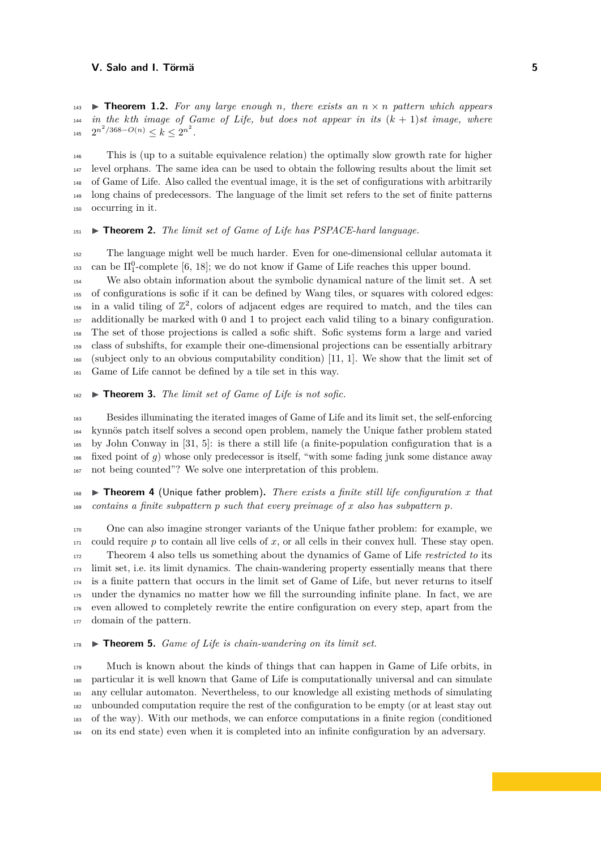143 **I Theorem 1.2.** For any large enough *n*, there exists an  $n \times n$  pattern which appears *in the kth image of Game of Life, but does not appear in its* (*k* + 1)*st image, where*  $2^{n^2/368 - O(n)} \leq k \leq 2^{n^2}.$ 

 This is (up to a suitable equivalence relation) the optimally slow growth rate for higher level orphans. The same idea can be used to obtain the following results about the limit set of Game of Life. Also called the eventual image, it is the set of configurations with arbitrarily long chains of predecessors. The language of the limit set refers to the set of finite patterns occurring in it.

## <span id="page-4-2"></span> $_{151}$   $\triangleright$  **Theorem 2.** *The limit set of Game of Life has PSPACE-hard language.*

 The language might well be much harder. Even for one-dimensional cellular automata it <sup>153</sup> can be  $\Pi_1^0$ -complete [\[6,](#page-18-3) [18\]](#page-19-10); we do not know if Game of Life reaches this upper bound.

 We also obtain information about the symbolic dynamical nature of the limit set. A set of configurations is sofic if it can be defined by Wang tiles, or squares with colored edges: <sup>156</sup> in a valid tiling of  $\mathbb{Z}^2$ , colors of adjacent edges are required to match, and the tiles can additionally be marked with 0 and 1 to project each valid tiling to a binary configuration. The set of those projections is called a sofic shift. Sofic systems form a large and varied class of subshifts, for example their one-dimensional projections can be essentially arbitrary (subject only to an obvious computability condition) [\[11,](#page-18-4) [1\]](#page-18-5). We show that the limit set of Game of Life cannot be defined by a tile set in this way.

## <span id="page-4-3"></span> $_{162}$   $\triangleright$  **Theorem 3.** *The limit set of Game of Life is not sofic.*

 Besides illuminating the iterated images of Game of Life and its limit set, the self-enforcing kynnös patch itself solves a second open problem, namely the Unique father problem stated by John Conway in [\[31,](#page-19-7) [5\]](#page-18-6): is there a still life (a finite-population configuration that is a fixed point of *g*) whose only predecessor is itself, "with some fading junk some distance away not being counted"? We solve one interpretation of this problem.

<span id="page-4-0"></span>**I Theorem 4** (Unique father problem). There exists a finite still life configuration x that *contains a finite subpattern p such that every preimage of x also has subpattern p.*

 One can also imagine stronger variants of the Unique father problem: for example, we could require p to contain all live cells of x, or all cells in their convex hull. These stay open. Theorem [4](#page-4-0) also tells us something about the dynamics of Game of Life *restricted to* its limit set, i.e. its limit dynamics. The chain-wandering property essentially means that there is a finite pattern that occurs in the limit set of Game of Life, but never returns to itself under the dynamics no matter how we fill the surrounding infinite plane. In fact, we are even allowed to completely rewrite the entire configuration on every step, apart from the domain of the pattern.

## <span id="page-4-1"></span> $_{178}$   $\triangleright$  **Theorem 5.** *Game of Life is chain-wandering on its limit set.*

<span id="page-4-4"></span> Much is known about the kinds of things that can happen in Game of Life orbits, in particular it is well known that Game of Life is computationally universal and can simulate any cellular automaton. Nevertheless, to our knowledge all existing methods of simulating unbounded computation require the rest of the configuration to be empty (or at least stay out of the way). With our methods, we can enforce computations in a finite region (conditioned on its end state) even when it is completed into an infinite configuration by an adversary.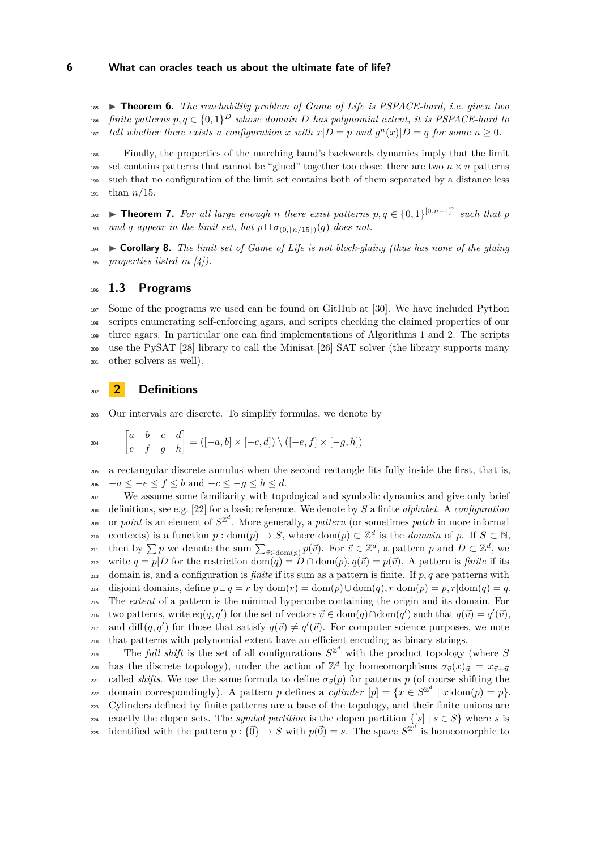<sup>185</sup> I **Theorem 6.** *The reachability problem of Game of Life is PSPACE-hard, i.e. given two finite patterns*  $p, q \in \{0, 1\}^D$  whose domain  $D$  has polynomial extent, it is PSPACE-hard to *tell whether there exists a configuration x with*  $x|D = p$  *and*  $g<sup>n</sup>(x)|D = q$  *for some*  $n \ge 0$ *.* 

 Finally, the properties of the marching band's backwards dynamics imply that the limit 189 set contains patterns that cannot be "glued" together too close: there are two  $n \times n$  patterns such that no configuration of the limit set contains both of them separated by a distance less than *n/*15.

<span id="page-5-1"></span>**Theorem 7.** For all large enough *n* there exist patterns  $p, q \in \{0, 1\}^{[0,n-1]^2}$  such that p 193 *and q appear in the limit set, but*  $p \sqcup \sigma_{(0, \lfloor n/15 \rfloor)}(q)$  *does not.* 

<sup>194</sup> I **Corollary 8.** *The limit set of Game of Life is not block-gluing (thus has none of the gluing* <sup>195</sup> *properties listed in [\[4\]](#page-18-7)).*

# <sup>196</sup> **1.3 Programs**

 Some of the programs we used can be found on GitHub at [\[30\]](#page-19-6). We have included Python scripts enumerating self-enforcing agars, and scripts checking the claimed properties of our three agars. In particular one can find implementations of Algorithms [1](#page-8-0) and [2.](#page-10-0) The scripts use the PySAT [\[28\]](#page-19-11) library to call the Minisat [\[26\]](#page-19-12) SAT solver (the library supports many other solvers as well).

## <span id="page-5-0"></span><sup>202</sup> **2 Definitions**

<sup>203</sup> Our intervals are discrete. To simplify formulas, we denote by

$$
e^{204} \qquad \begin{bmatrix} a & b & c & d \\ e & f & g & h \end{bmatrix} = ([-a, b] \times [-c, d]) \setminus ([-e, f] \times [-g, h])
$$

<sup>205</sup> a rectangular discrete annulus when the second rectangle fits fully inside the first, that is,  $206$  −*a* ≤ −*e* ≤ *f* ≤ *b* and −*c* ≤ −*g* ≤ *h* ≤ *d*.

<sup>207</sup> We assume some familiarity with topological and symbolic dynamics and give only brief <sup>208</sup> definitions, see e.g. [\[22\]](#page-19-13) for a basic reference. We denote by *S* a finite *alphabet*. A *configuration*  $A_{209}$  or *point* is an element of  $S^{\mathbb{Z}^d}$ . More generally, a *pattern* (or sometimes *patch* in more informal contexts) is a function  $p: \text{dom}(p) \to S$ , where  $\text{dom}(p) \subset \mathbb{Z}^d$  is the *domain* of  $p$ . If  $S \subset \mathbb{N}$ , then by  $\sum p$  we denote the sum  $\sum_{\vec{v} \in \text{dom}(p)} p(\vec{v})$ . For  $\vec{v} \in \mathbb{Z}^d$ , a pattern *p* and  $D \subset \mathbb{Z}^d$ , we 212 write  $q = p|D$  for the restriction dom $(q) = D \cap \text{dom}(p), q(\vec{v}) = p(\vec{v})$ . A pattern is *finite* if its <sup>213</sup> domain is, and a configuration is *finite* if its sum as a pattern is finite. If *p, q* are patterns with <sup>214</sup> disjoint domains, define *p*t*q* = *r* by dom(*r*) = dom(*p*)∪dom(*q*)*, r*|dom(*p*) = *p, r*|dom(*q*) = *q*. <sup>215</sup> The *extent* of a pattern is the minimal hypercube containing the origin and its domain. For 216 two patterns, write eq(*q*, *q*') for the set of vectors  $\vec{v} \in \text{dom}(q) \cap \text{dom}(q')$  such that  $q(\vec{v}) = q'(\vec{v})$ , and diff $(q, q')$  for those that satisfy  $q(\vec{v}) \neq q'(\vec{v})$ . For computer science purposes, we note <sup>218</sup> that patterns with polynomial extent have an efficient encoding as binary strings.

The *full shift* is the set of all configurations  $S^{\mathbb{Z}^d}$  with the product topology (where *S* 220 has the discrete topology), under the action of  $\mathbb{Z}^d$  by homeomorphisms  $\sigma_{\vec{v}}(x)_{\vec{u}} = x_{\vec{v}+\vec{u}}$ 221 called *shifts*. We use the same formula to define  $\sigma_{\vec{v}}(p)$  for patterns *p* (of course shifting the  $z_{22}$  domain correspondingly). A pattern *p* defines a *cylinder*  $[p] = \{x \in S^{\mathbb{Z}^d} \mid x | \text{dom}(p) = p\}.$ <sup>223</sup> Cylinders defined by finite patterns are a base of the topology, and their finite unions are 224 exactly the clopen sets. The *symbol partition* is the clopen partition  $\{[s] | s \in S\}$  where *s* is identified with the pattern  $p : {\vec{0}} \rightarrow S$  with  $p({\vec{0}}) = s$ . The space  $S^{\mathbb{Z}^d}$  is homeomorphic to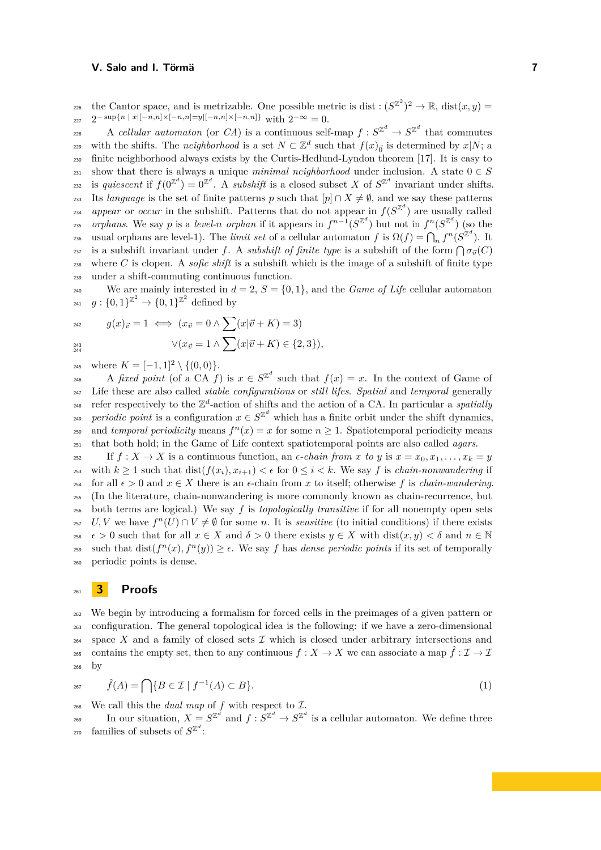the Cantor space, and is metrizable. One possible metric is dist:  $(S^{\mathbb{Z}^2})^2 \to \mathbb{R}$ , dist $(x, y) =$  $_{227}$   $2^{-\sup\{n \ | \ x|[-n,n]\times[-n,n]=y|[-n,n]\times[-n,n]\}}$  with  $2^{-\infty}=0$ .

228 A *cellular automaton* (or *CA*) is a continuous self-map  $f: S^{\mathbb{Z}^d} \to S^{\mathbb{Z}^d}$  that commutes with the shifts. The *neighborhood* is a set  $N \subset \mathbb{Z}^d$  such that  $f(x)_{\vec{0}}$  is determined by  $x|N$ ; a <sup>230</sup> finite neighborhood always exists by the Curtis-Hedlund-Lyndon theorem [\[17\]](#page-19-14). It is easy to <sup>231</sup> show that there is always a unique *minimal neighborhood* under inclusion. A state  $0 \in S$ is *quiescent* if  $f(0^{\mathbb{Z}^d}) = 0^{\mathbb{Z}^d}$ . A *subshift* is a closed subset *X* of  $S^{\mathbb{Z}^d}$  invariant under shifts. 233 Its *language* is the set of finite patterns *p* such that  $[p] \cap X \neq \emptyset$ , and we say these patterns <sup>234</sup> appear or *occur* in the subshift. Patterns that do not appear in  $f(S^{\mathbb{Z}^d})$  are usually called *orphans*. We say *p* is a *level-n orphan* if it appears in  $f^{n-1}(S^{\mathbb{Z}^d})$  but not in  $f^n(S^{\mathbb{Z}^d})$  (so the usual orphans are level-1). The *limit set* of a cellular automaton  $f$  is  $\Omega(f) = \bigcap_n f^n(S^{\mathbb{Z}^d})$ . It  $\sigma_{37}$  is a subshift invariant under f. A *subshift of finite type* is a subshift of the form  $\bigcap \sigma_{\vec{v}}(C)$ <sup>238</sup> where *C* is clopen. A *sofic shift* is a subshift which is the image of a subshift of finite type <sup>239</sup> under a shift-commuting continuous function.

<sup>240</sup> We are mainly interested in  $d = 2$ ,  $S = \{0, 1\}$ , and the *Game of Life* cellular automaton 241  $g: \{0,1\}^{\mathbb{Z}^2} \to \{0,1\}^{\mathbb{Z}^2}$  defined by

$$
g(x)_{\vec{v}} = 1 \iff (x_{\vec{v}} = 0 \land \sum (x|\vec{v} + K) = 3)
$$
  

$$
\lor (x_{\vec{v}} = 1 \land \sum (x|\vec{v} + K) \in \{2, 3\}),
$$

245 where  $K = [-1, 1]^2 \setminus \{(0, 0)\}.$ 

A *fixed point* (of a CA *f*) is  $x \in S^{\mathbb{Z}^d}$  such that  $f(x) = x$ . In the context of Game of <sup>247</sup> Life these are also called *stable configurations* or *still lifes*. *Spatial* and *temporal* generally <sup>248</sup> refer respectively to the  $\mathbb{Z}^d$ -action of shifts and the action of a CA. In particular a *spatially periodic point* is a configuration  $x \in S^{\mathbb{Z}^d}$  which has a finite orbit under the shift dynamics, and *temporal periodicity* means  $f^{n}(x) = x$  for some  $n \ge 1$ . Spatiotemporal periodicity means <sup>251</sup> that both hold; in the Game of Life context spatiotemporal points are also called *agars*.

252 If  $f: X \to X$  is a continuous function, an  $\epsilon$ -chain from x to y is  $x = x_0, x_1, \ldots, x_k = y$ <sup>253</sup> with  $k \geq 1$  such that  $dist(f(x_i), x_{i+1}) < \epsilon$  for  $0 \leq i < k$ . We say *f* is *chain-nonwandering* if 254 for all  $\epsilon > 0$  and  $x \in X$  there is an  $\epsilon$ -chain from x to itself; otherwise f is *chain-wandering*. <sup>255</sup> (In the literature, chain-nonwandering is more commonly known as chain-recurrence, but <sup>256</sup> both terms are logical.) We say *f* is *topologically transitive* if for all nonempty open sets 257 *U, V* we have  $f^{n}(U) \cap V \neq \emptyset$  for some *n*. It is *sensitive* (to initial conditions) if there exists 258  $\epsilon > 0$  such that for all  $x \in X$  and  $\delta > 0$  there exists  $y \in X$  with  $dist(x, y) < \delta$  and  $n \in \mathbb{N}$ such that dist( $f^{n}(x)$ ,  $f^{n}(y)$ )  $\geq \epsilon$ . We say *f* has *dense periodic points* if its set of temporally <sup>260</sup> periodic points is dense.

# <sup>261</sup> **3 Proofs**

<sup>262</sup> We begin by introducing a formalism for forced cells in the preimages of a given pattern or <sup>263</sup> configuration. The general topological idea is the following: if we have a zero-dimensional  $264$  space *X* and a family of closed sets *I* which is closed under arbitrary intersections and contains the empty set, then to any continuous  $f: X \to X$  we can associate a map  $\hat{f}: \mathcal{I} \to \mathcal{I}$ <sup>266</sup> by

<span id="page-6-0"></span>
$$
\hat{f}(A) = \bigcap \{ B \in \mathcal{I} \mid f^{-1}(A) \subset B \}. \tag{1}
$$

<sup>268</sup> We call this the *dual map* of *f* with respect to I.

In our situation,  $X = S^{\mathbb{Z}^d}$  and  $f : S^{\mathbb{Z}^d} \to S^{\mathbb{Z}^d}$  is a cellular automaton. We define three <sup>270</sup> families of subsets of  $S^{\mathbb{Z}^d}$ :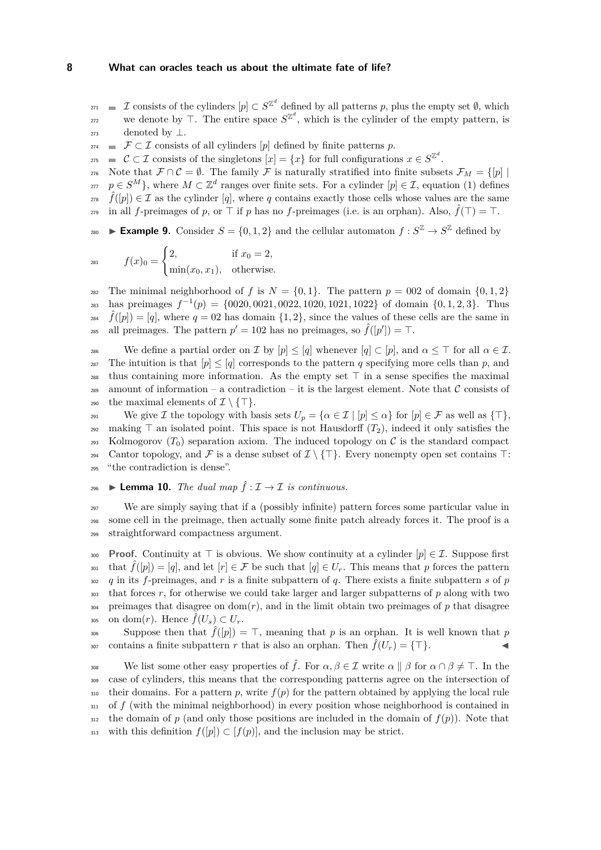$\mathcal{I}$  consists of the cylinders  $[p] \subset S^{\mathbb{Z}^d}$  defined by all patterns *p*, plus the empty set  $\emptyset$ , which we denote by  $\top$ . The entire space  $S^{\mathbb{Z}^d}$ , which is the cylinder of the empty pattern, is  $273$  denoted by  $\perp$ .

- $274$  **■**  $\mathcal{F} \subset \mathcal{I}$  consists of all cylinders [p] defined by finite patterns p.
- $\mathcal{C}$  ⊂ *I* consists of the singletons  $[x] = \{x\}$  for full configurations  $x \in S^{\mathbb{Z}^d}$ .

276 Note that  $\mathcal{F} \cap \mathcal{C} = \emptyset$ . The family  $\mathcal{F}$  is naturally stratified into finite subsets  $\mathcal{F}_M = \{ [p] \mid$  $p \in S^M$ , where  $M \subset \mathbb{Z}^d$  ranges over finite sets. For a cylinder  $[p] \in \mathcal{I}$ , equation [\(1\)](#page-6-0) defines  $\hat{f}([p]) \in \mathcal{I}$  as the cylinder [q], where q contains exactly those cells whose values are the same

 $\hat{f}$  in all *f*-preimages of *p*, or  $\top$  if *p* has no *f*-preimages (i.e. is an orphan). Also,  $\hat{f}(\top) = \top$ .

**Example 9.** Consider  $S = \{0, 1, 2\}$  and the cellular automaton  $f : S^{\mathbb{Z}} \to S^{\mathbb{Z}}$  defined by

$$
f(x)_0 = \begin{cases} 2, & \text{if } x_0 = 2, \\ \min(x_0, x_1), & \text{otherwise.} \end{cases}
$$

<sup>282</sup> The minimal neighborhood of *f* is  $N = \{0, 1\}$ . The pattern  $p = 002$  of domain  $\{0, 1, 2\}$  $_{283}$  has preimages  $f^{-1}(p) = \{0020, 0021, 0022, 1020, 1021, 1022\}$  of domain  $\{0, 1, 2, 3\}$ . Thus  $\hat{f}([p]) = [q]$ , where  $q = 02$  has domain  $\{1, 2\}$ , since the values of these cells are the same in all preimages. The pattern  $p' = 102$  has no preimages, so  $\hat{f}([p']) = \top$ .

286 We define a partial order on  $\mathcal I$  by  $[p] \leq [q]$  whenever  $[q] \subset [p]$ , and  $\alpha \leq \top$  for all  $\alpha \in \mathcal I$ . 287 The intuition is that  $[p] \leq [q]$  corresponds to the pattern q specifying more cells than p, and <sup>288</sup> thus containing more information. As the empty set  $\top$  in a sense specifies the maximal 289 amount of information – a contradiction – it is the largest element. Note that  $\mathcal C$  consists of 290 the maximal elements of  $\mathcal{I} \setminus \{\top\}.$ 

291 We give *I* the topology with basis sets  $U_p = {\alpha \in I \mid [p] \leq \alpha}$  for  $[p] \in \mathcal{F}$  as well as  $\{\top\},$ <sup>292</sup> making  $\top$  an isolated point. This space is not Hausdorff  $(T_2)$ , indeed it only satisfies the  $_{293}$  Kolmogorov  $(T_0)$  separation axiom. The induced topology on C is the standard compact 294 Cantor topology, and F is a dense subset of  $\mathcal{I}\setminus\{\top\}$ . Every nonempty open set contains  $\top$ : <sup>295</sup> "the contradiction is dense".

## <span id="page-7-0"></span> $\text{296}$  ► Lemma 10. *The dual map*  $\hat{f}$  :  $\mathcal{I}$  →  $\mathcal{I}$  *is continuous.*

<sup>297</sup> We are simply saying that if a (possibly infinite) pattern forces some particular value in <sup>298</sup> some cell in the preimage, then actually some finite patch already forces it. The proof is a <sup>299</sup> straightforward compactness argument.

**Proof.** Continuity at  $\top$  is obvious. We show continuity at a cylinder  $[p] \in \mathcal{I}$ . Suppose first <sup>301</sup> that  $\hat{f}([p]) = [q]$ , and let  $[r] \in \mathcal{F}$  be such that  $[q] \in U_r$ . This means that p forces the pattern *q* in its *f*-preimages, and *r* is a finite subpattern of *q*. There exists a finite subpattern *s* of *p* that forces *r*, for otherwise we could take larger and larger subpatterns of *p* along with two preimages that disagree on dom(*r*), and in the limit obtain two preimages of *p* that disagree  $\sum_{s=1}^{305}$  on dom(*r*). Hence  $\tilde{f}(U_s) \subset U_r$ .

Suppose then that  $\hat{f}([p]) = \top$ , meaning that p is an orphan. It is well known that p contains a finite subpattern *r* that is also an orphan. Then  $\hat{f}(U_r) = {\top}$ .

<span id="page-7-1"></span>We list some other easy properties of  $\hat{f}$ . For  $\alpha, \beta \in \mathcal{I}$  write  $\alpha \parallel \beta$  for  $\alpha \cap \beta \neq \top$ . In the <sup>309</sup> case of cylinders, this means that the corresponding patterns agree on the intersection of  $\frac{1}{310}$  their domains. For a pattern *p*, write  $f(p)$  for the pattern obtained by applying the local rule  $_{311}$  of  $f$  (with the minimal neighborhood) in every position whose neighborhood is contained in <sup>312</sup> the domain of *p* (and only those positions are included in the domain of  $f(p)$ ). Note that 313 with this definition  $f([p]) \subset [f(p)]$ , and the inclusion may be strict.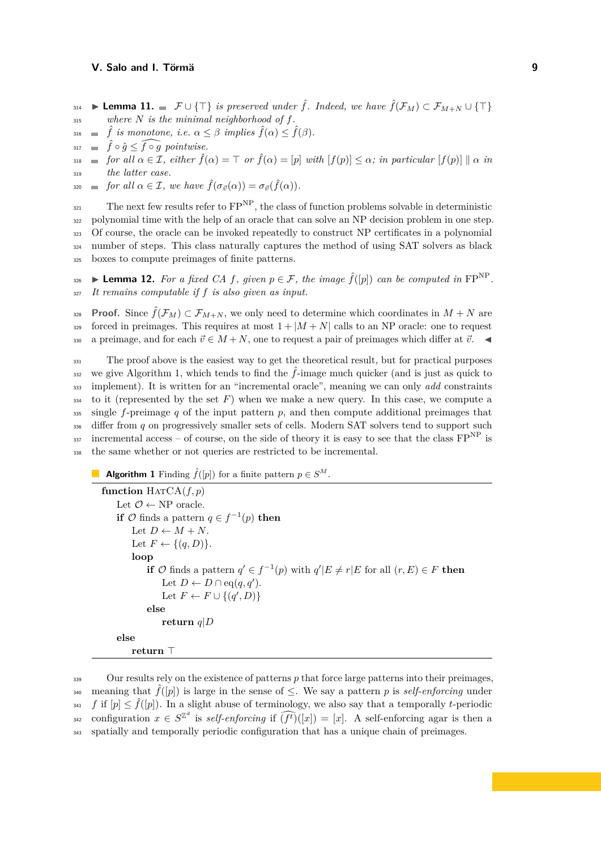- $\mathbf{I}$ **Example 11.**  $\mathcal{F} \cup \{\top\}$  is preserved under  $\hat{f}$ . Indeed, we have  $\hat{f}(\mathcal{F}_M) \subset \mathcal{F}_{M+N} \cup \{\top\}$
- <sup>315</sup> *where N is the minimal neighborhood of f.*
- $\hat{f}$  is monotone, i.e.  $\alpha \leq \beta$  implies  $\hat{f}(\alpha) \leq \hat{f}(\beta)$ .
- $\hat{f} \circ \hat{g} \leq \widehat{f \circ g}$  *pointwise.*

 $f(x) = \int f(x) \, dx \in \mathcal{I}$ ,  $\text{either } \hat{f}(\alpha) = \int f(x) \, dx \in \mathcal{I}$  *f*(*a*) = *[p]*  $\text{with } |f(p)| \leq \alpha$ ; *in particular*  $|f(p)| \cdot \alpha$  *in* <sup>319</sup> *the latter case.*

 $f(\sigma_{\vec{v}}(\alpha)) = \sigma_{\vec{v}}(\hat{f}(\alpha)).$ 

 $_{321}$  The next few results refer to  $FP^{NP}$ , the class of function problems solvable in deterministic polynomial time with the help of an oracle that can solve an NP decision problem in one step. Of course, the oracle can be invoked repeatedly to construct NP certificates in a polynomial number of steps. This class naturally captures the method of using SAT solvers as black boxes to compute preimages of finite patterns.

<span id="page-8-1"></span> $\bullet$  ► Lemma 12. *For a fixed CA f, given*  $p \in \mathcal{F}$ *, the image*  $\hat{f}([p])$  *can be computed in* FP<sup>NP</sup>. <sup>327</sup> *It remains computable if f is also given as input.*

**Proof.** Since  $\hat{f}(\mathcal{F}_M) \subset \mathcal{F}_{M+N}$ , we only need to determine which coordinates in  $M+N$  are  $329$  forced in preimages. This requires at most  $1 + |M + N|$  calls to an NP oracle: one to request 330 a preimage, and for each  $\vec{v} \in M + N$ , one to request a pair of preimages which differ at  $\vec{v}$ .

<sup>331</sup> The proof above is the easiest way to get the theoretical result, but for practical purposes we give Algorithm [1,](#page-8-0) which tends to find the  $\hat{f}$ -image much quicker (and is just as quick to <sup>333</sup> implement). It is written for an "incremental oracle", meaning we can only *add* constraints  $_{334}$  to it (represented by the set F) when we make a new query. In this case, we compute a  $\frac{335}{335}$  single f-preimage q of the input pattern p, and then compute additional preimages that <sup>336</sup> differ from *q* on progressively smaller sets of cells. Modern SAT solvers tend to support such 337 incremental access – of course, on the side of theory it is easy to see that the class  $FP<sup>NP</sup>$  is <sup>338</sup> the same whether or not queries are restricted to be incremental.

# <span id="page-8-0"></span>**Algorithm 1** Finding  $\hat{f}([p])$  for a finite pattern  $p \in S^M$ .

```
function \text{HATCA}(f, p)Let \mathcal{O} \leftarrow NP oracle.
     if \mathcal{O} finds a pattern q \in f^{-1}(p) then
         Let D \leftarrow M + N.
         Let F \leftarrow \{(q, D)\}.loop
              if \mathcal{O} finds a pattern q' \in f^{-1}(p) with q'|E \neq r|E for all (r, E) \in F then
                   Let D \leftarrow D \cap eq(q, q').Let F \leftarrow F \cup \{(q', D)\}\else
                  return q|D
    else
         return \top
```
<span id="page-8-2"></span><sup>339</sup> Our results rely on the existence of patterns *p* that force large patterns into their preimages, meaning that  $\hat{f}([p])$  is large in the sense of  $\leq$ . We say a pattern p is *self-enforcing* under <sup>341</sup> *f* if  $[p] \leq \hat{f}([p])$ . In a slight abuse of terminology, we also say that a temporally *t*-periodic configuration  $x \in S^{\mathbb{Z}^d}$  is *self-enforcing* if  $(f^t)([x]) = [x]$ . A self-enforcing agar is then a <sup>343</sup> spatially and temporally periodic configuration that has a unique chain of preimages.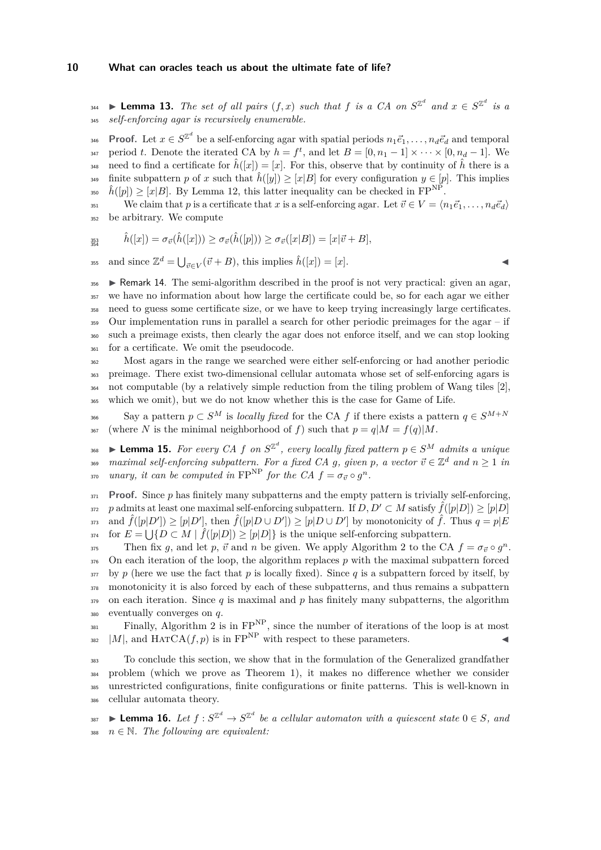**Lemma 13.** *The set of all pairs*  $(f, x)$  *such that*  $f$  *is a CA on*  $S^{\mathbb{Z}^d}$  *and*  $x \in S^{\mathbb{Z}^d}$  *is a* <sup>345</sup> *self-enforcing agar is recursively enumerable.*

**Proof.** Let  $x \in S^{\mathbb{Z}^d}$  be a self-enforcing agar with spatial periods  $n_1 \vec{e}_1, \ldots, n_d \vec{e}_d$  and temporal  $P_{347}$  period *t*. Denote the iterated CA by  $h = f^t$ , and let  $B = [0, n_1 - 1] \times \cdots \times [0, n_d - 1]$ . We need to find a certificate for  $\hat{h}([x]) = [x]$ . For this, observe that by continuity of  $\hat{h}$  there is a finite subpattern *p* of *x* such that  $\hat{h}([y]) \geq [x|B]$  for every configuration  $y \in [p]$ . This implies <sup>350</sup>  $\hat{h}([p]) \geq [x|B]$ . By Lemma [12,](#page-8-1) this latter inequality can be checked in  $\text{FP}^{\text{NP}}$ .

351 We claim that p is a certificate that x is a self-enforcing agar. Let  $\vec{v} \in V = \langle n_1 \vec{e}_1, \ldots, n_d \vec{e}_d \rangle$ <sup>352</sup> be arbitrary. We compute

$$
\hat{i}_{354}^{333}\qquad \hat{h}([x])=\sigma_{\vec{v}}(\hat{h}([x]))\geq \sigma_{\vec{v}}(\hat{h}([p]))\geq \sigma_{\vec{v}}([x|B])=[x|\vec{v}+B],
$$

and since  $\mathbb{Z}^d = \bigcup_{\vec{v} \in V} (\vec{v} + B)$ , this implies  $\hat{h}([x]) = [x]$ .

 $\bullet$  **Exercise** I Remark 14. The semi-algorithm described in the proof is not very practical: given an agar, we have no information about how large the certificate could be, so for each agar we either need to guess some certificate size, or we have to keep trying increasingly large certificates. Our implementation runs in parallel a search for other periodic preimages for the agar – if such a preimage exists, then clearly the agar does not enforce itself, and we can stop looking for a certificate. We omit the pseudocode.

 Most agars in the range we searched were either self-enforcing or had another periodic preimage. There exist two-dimensional cellular automata whose set of self-enforcing agars is not computable (by a relatively simple reduction from the tiling problem of Wang tiles [\[2\]](#page-18-8), which we omit), but we do not know whether this is the case for Game of Life.

Say a pattern  $p \text{ }\subset S^M$  is *locally fixed* for the CA *f* if there exists a pattern  $q \in S^{M+N}$ <sup>367</sup> (where *N* is the minimal neighborhood of *f*) such that  $p = q|M = f(q)|M$ .

 $I$ <sup>368</sup> ▶ Lemma 15. *For every CA f on*  $S^{\mathbb{Z}^d}$ , every locally fixed pattern  $p ∈ S^M$  admits a unique  $_{369}$  *maximal self-enforcing subpattern. For a fixed CA g, given p, a vector*  $\vec{v} \in \mathbb{Z}^d$  *and*  $n \ge 1$  *in unary, it can be computed in*  $\text{FP}^{\text{NP}}$  *for the CA*  $f = \sigma_{\vec{v}} \circ g^n$ .

 $371$  **Proof.** Since *p* has finitely many subpatterns and the empty pattern is trivially self-enforcing, *zr*<sub>2</sub> *p* admits at least one maximal self-enforcing subpattern. If  $D, D' \subset M$  satisfy  $\hat{f}([p|D]) \geq [p|D]$  $\hat{f}([p|D']) \geq [p|D'], \text{ then } \hat{f}([p|D \cup D']) \geq [p|D \cup D'] \text{ by monotonicity of } \hat{f}.$  Thus  $q = p|E$  $_{374}$  for  $E = \bigcup \{ D \subset M \mid \hat{f}([p|D]) \geq [p|D] \}$  is the unique self-enforcing subpattern.

Then fix *g*, and let *p*,  $\vec{v}$  and *n* be given. We apply Algorithm [2](#page-10-0) to the CA  $f = \sigma_{\vec{v}} \circ g^n$ . On each iteration of the loop, the algorithm replaces *p* with the maximal subpattern forced  $\frac{377}{277}$  by p (here we use the fact that p is locally fixed). Since q is a subpattern forced by itself, by monotonicity it is also forced by each of these subpatterns, and thus remains a subpattern on each iteration. Since *q* is maximal and *p* has finitely many subpatterns, the algorithm eventually converges on *q*.

 $F_{381}$  Finally, Algorithm [2](#page-10-0) is in  $FP<sup>NP</sup>$ , since the number of iterations of the loop is at most  $|M|$ , and HATCA $(f, p)$  is in FP<sup>NP</sup> with respect to these parameters.

 To conclude this section, we show that in the formulation of the Generalized grandfather problem (which we prove as Theorem [1\)](#page-3-0), it makes no difference whether we consider unrestricted configurations, finite configurations or finite patterns. This is well-known in cellular automata theory.

<span id="page-9-0"></span> $\mathbf{16.}$  **Lemma 16.** Let  $f: S^{\mathbb{Z}^d} \to S^{\mathbb{Z}^d}$  be a cellular automaton with a quiescent state  $0 \in S$ , and 388  $n \in \mathbb{N}$ . The following are equivalent: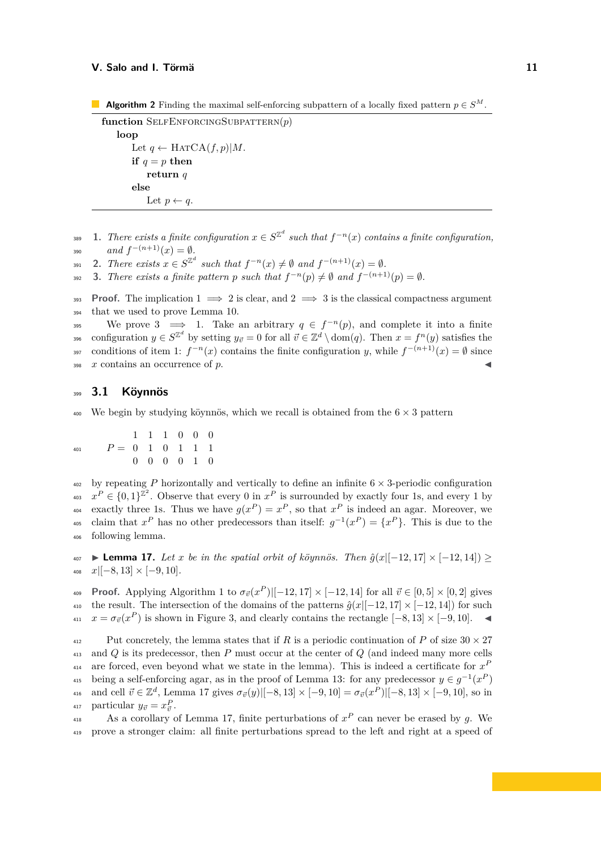<span id="page-10-0"></span>**Algorithm 2** Finding the maximal self-enforcing subpattern of a locally fixed pattern  $p \in S^M$ .

```
function SelfEnforcingSubpattern(p)
   loop
       Let q \leftarrow \text{HATCA}(f, p)|M.
       if q = p then
           return q
       else
           Let p \leftarrow q.
```
- <span id="page-10-1"></span> $\mathbf{a} = \mathbf{a}$  **1.** There exists a finite configuration  $x \in S^{\mathbb{Z}^d}$  such that  $f^{-n}(x)$  contains a finite configuration, 390  $and f^{-(n+1)}(x) = \emptyset.$
- <span id="page-10-2"></span>**2.** There exists  $x \in S^{\mathbb{Z}^d}$  such that  $f^{-n}(x) \neq \emptyset$  and  $f^{-(n+1)}(x) = \emptyset$ .
- <span id="page-10-3"></span>**392 3.** *There exists a finite pattern p such that*  $f^{-n}(p) \neq \emptyset$  and  $f^{-(n+1)}(p) = \emptyset$ *.*

**Proof.** The implication  $1 \implies 2$  $1 \implies 2$  is clear, and  $2 \implies 3$  $2 \implies 3$  is the classical compactness argument <sup>394</sup> that we used to prove Lemma [10.](#page-7-0)

We prove [3](#page-10-3)  $\implies$  [1.](#page-10-1) Take an arbitrary  $q \in f^{-n}(p)$ , and complete it into a finite  $y_0$  configuration  $y \in S^{\mathbb{Z}^d}$  by setting  $y_{\vec{v}} = 0$  for all  $\vec{v} \in \mathbb{Z}^d \setminus \text{dom}(q)$ . Then  $x = f^n(y)$  satisfies the conditions of item [1:](#page-10-1)  $f^{-n}(x)$  contains the finite configuration *y*, while  $f^{-(n+1)}(x) = \emptyset$  since  $\frac{398}{x}$  contains an occurrence of  $p$ .

# <span id="page-10-5"></span><sup>399</sup> **3.1 Köynnös**

We begin by studying köynnös, which we recall is obtained from the  $6 \times 3$  pattern

$$
P = \begin{array}{ccccccccc}\n & & & & 1 & 1 & 1 & 0 & 0 & 0 \\
1 & & 1 & 1 & 1 & 1 & 1 \\
 & & & & & 0 & 0 & 1 & 1 \\
 & & & & & 0 & 0 & 0 & 1 & 0\n\end{array}
$$

by repeating *P* horizontally and vertically to define an infinite  $6 \times 3$ -periodic configuration <sup>403</sup>  $x^P \in \{0,1\}^{\mathbb{Z}^2}$ . Observe that every 0 in  $x^P$  is surrounded by exactly four 1s, and every 1 by exactly three 1s. Thus we have  $g(x^P) = x^P$ , so that  $x^P$  is indeed an agar. Moreover, we <sup>405</sup> claim that  $x^P$  has no other predecessors than itself:  $g^{-1}(x^P) = \{x^P\}$ . This is due to the <sup>406</sup> following lemma.

<span id="page-10-4"></span> $\text{407}$  **► Lemma 17.** *Let x be in the spatial orbit of köynnös. Then*  $\hat{g}(x)[-12, 17] \times [-12, 14])$  ≥ <sup>408</sup> *x*|[−8*,* 13] × [−9*,* 10]*.*

**Proof.** Applying Algorithm [1](#page-8-0) to  $\sigma_{\vec{v}}(x^P)[[-12, 17] \times [-12, 14]$  for all  $\vec{v} \in [0, 5] \times [0, 2]$  gives 410 the result. The intersection of the domains of the patterns  $\hat{g}(x|[-12, 17] \times [-12, 14])$  for such  $x = \sigma_{\vec{v}}(x^P)$  is shown in Figure [3,](#page-11-0) and clearly contains the rectangle  $[-8, 13] \times [-9, 10]$ .  $\blacktriangleleft$ 

<sup>412</sup> Put concretely, the lemma states that if *R* is a periodic continuation of *P* of size  $30 \times 27$ <sup>413</sup> and *Q* is its predecessor, then *P* must occur at the center of *Q* (and indeed many more cells are forced, even beyond what we state in the lemma). This is indeed a certificate for  $x^P$ <sup>415</sup> being a self-enforcing agar, as in the proof of Lemma [13:](#page-8-2) for any predecessor  $y \in g^{-1}(x^P)$  $\alpha_{416}$  and cell  $\vec{v} \in \mathbb{Z}^d$ , Lemma [17](#page-10-4) gives  $\sigma_{\vec{v}}(y)[[-8, 13] \times [-9, 10] = \sigma_{\vec{v}}(x^P)[[-8, 13] \times [-9, 10]$ , so in 417 particular  $y_{\vec{v}} = x_{\vec{v}}^P$ .

As a corollary of Lemma [17,](#page-10-4) finite perturbations of  $x^P$  can never be erased by g. We <sup>419</sup> prove a stronger claim: all finite perturbations spread to the left and right at a speed of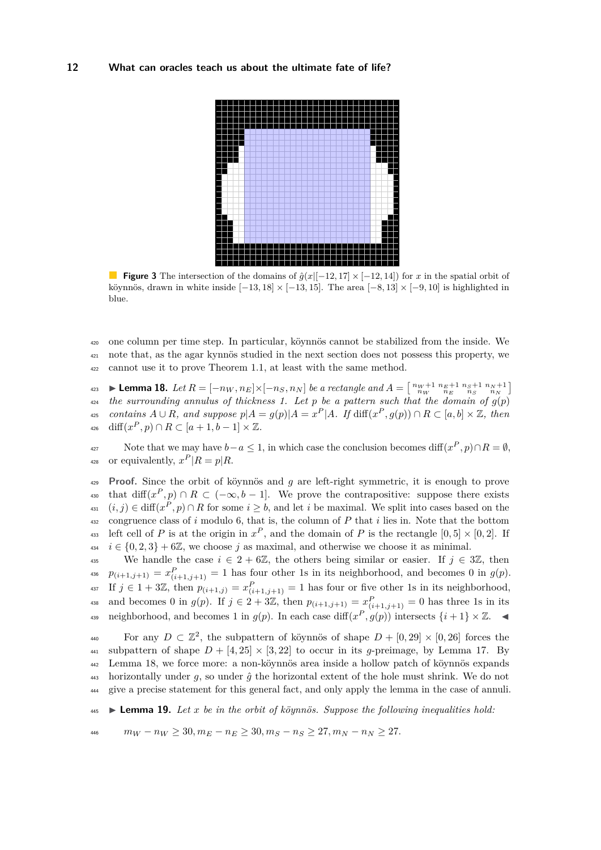<span id="page-11-0"></span>

**Figure 3** The intersection of the domains of  $\hat{q}(x)[-12, 17] \times [-12, 14]$  for *x* in the spatial orbit of köynnös, drawn in white inside  $[-13, 18] \times [-13, 15]$ . The area  $[-8, 13] \times [-9, 10]$  is highlighted in blue.

<sup>420</sup> one column per time step. In particular, köynnös cannot be stabilized from the inside. We <sup>421</sup> note that, as the agar kynnös studied in the next section does not possess this property, we <sup>422</sup> cannot use it to prove Theorem [1.1,](#page-3-2) at least with the same method.

<span id="page-11-1"></span>**Lemma 18.** Let  $R = [-n_W, n_E] \times [-n_S, n_N]$  be a rectangle and  $A = \begin{bmatrix} n_W + 1 & n_E + 1 & n_S + 1 & n_N + 1 \\ n_W & n_E & n_S & n_N \end{bmatrix}$ 423  $\mu_{24}$  the surrounding annulus of thickness 1. Let p be a pattern such that the domain of  $g(p)$ 425 contains  $A \cup R$ , and suppose  $p|A = g(p)|A = x^P|A$ . If  $\text{diff}(x^P, g(p)) \cap R \subset [a, b] \times \mathbb{Z}$ , then  $\text{diff}(x^P, p) \cap R \subset [a+1, b-1] \times \mathbb{Z}.$ 

Note that we may have  $b-a \leq 1$ , in which case the conclusion becomes diff $(x^P, p) \cap R = \emptyset$ , <sup>428</sup> or equivalently,  $x^P | R = p | R$ .

<sup>429</sup> **Proof.** Since the orbit of köynnös and *g* are left-right symmetric, it is enough to prove that diff $(x^P, p) \cap R \subset (-\infty, b-1]$ . We prove the contrapositive: suppose there exists  $(i, j) \in \text{diff}(x^P, p) \cap R$  for some  $i \geq b$ , and let *i* be maximal. We split into cases based on the <sup>432</sup> congruence class of *i* modulo 6, that is, the column of *P* that *i* lies in. Note that the bottom <sup>433</sup> left cell of *P* is at the origin in  $x^P$ , and the domain of *P* is the rectangle  $[0,5] \times [0,2]$ . If  $i \in \{0, 2, 3\} + 6\mathbb{Z}$ , we choose *j* as maximal, and otherwise we choose it as minimal.

435 We handle the case  $i \in 2 + 6\mathbb{Z}$ , the others being similar or easier. If  $j \in 3\mathbb{Z}$ , then  $p_{(i+1,j+1)} = x_{(i+1,j+1)}^P = 1$  has four other 1s in its neighborhood, and becomes 0 in  $g(p)$ .  $\text{If } j \in 1 + 3\mathbb{Z}, \text{ then } p_{(i+1,j)} = x_{(i+1,j+1)}^P = 1 \text{ has four or five other 1s in its neighborhood,}$ and becomes 0 in  $g(p)$ . If  $j \in 2 + 3\mathbb{Z}$ , then  $p_{(i+1,j+1)} = x_{(i+1,j+1)}^P = 0$  has three 1s in its as neighborhood, and becomes 1 in  $g(p)$ . In each case diff $(x^P, g(p))$  intersects  $\{i+1\} \times \mathbb{Z}$ .

For any  $D \subset \mathbb{Z}^2$ , the subpattern of köynnös of shape  $D + [0, 29] \times [0, 26]$  forces the 441 subpattern of shape  $D + [4, 25] \times [3, 22]$  to occur in its *q*-preimage, by Lemma [17.](#page-10-4) By <sup>442</sup> Lemma [18,](#page-11-1) we force more: a non-köynnös area inside a hollow patch of köynnös expands 443 horizontally under  $g$ , so under  $\hat{g}$  the horizontal extent of the hole must shrink. We do not <sup>444</sup> give a precise statement for this general fact, and only apply the lemma in the case of annuli.

<span id="page-11-2"></span> $\bullet$  **Lemma 19.** Let *x* be in the orbit of köynnös. Suppose the following inequalities hold:

 $m_W - n_W \geq 30, m_E - n_E \geq 30, m_S - n_S \geq 27, m_N - n_N \geq 27.$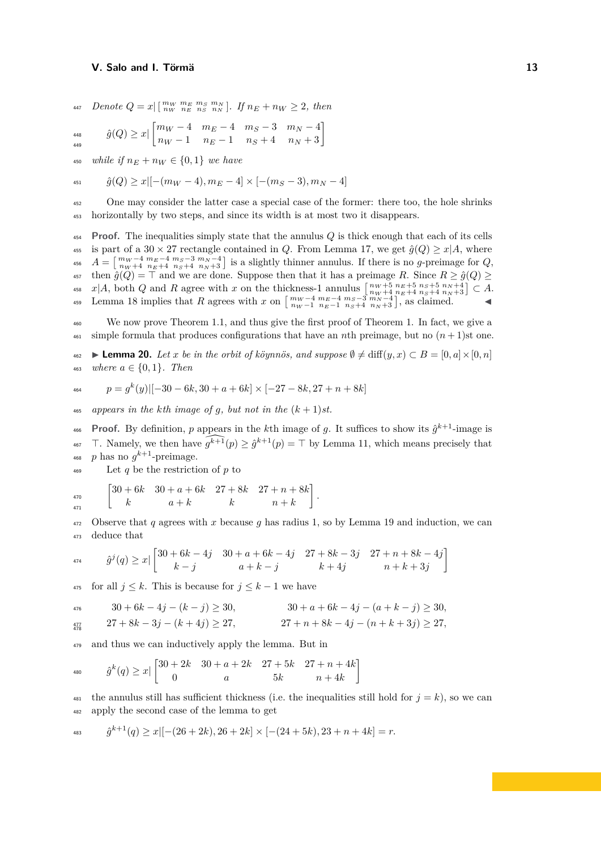448 <sub>44</sub>

$$
447 \quad Denote \ Q = x \lfloor \lfloor \frac{m_W}{n_W} \frac{m_E}{n_E} \frac{m_S}{n_S} \frac{m_N}{n_N} \rfloor. \text{ If } n_E + n_W \ge 2, \text{ then}
$$

$$
\hat{g}(Q) \ge x \left[ \begin{matrix} m_W - 4 & m_E - 4 & m_S - 3 & m_N - 4 \\ n_W - 1 & n_E - 1 & n_S + 4 & n_N + 3 \end{matrix} \right]
$$

450 *while if*  $n_E + n_W \in \{0, 1\}$  *we have* 

$$
_{^{451}} \qquad \hat{g}(Q) \ge x [ [ -(m_W-4), m_E-4] \times [ -(m_S-3), m_N-4]
$$

<sup>452</sup> One may consider the latter case a special case of the former: there too, the hole shrinks <sup>453</sup> horizontally by two steps, and since its width is at most two it disappears.

<sup>454</sup> **Proof.** The inequalities simply state that the annulus *Q* is thick enough that each of its cells 455 is part of a 30  $\times$  27 rectangle contained in *Q*. From Lemma [17,](#page-10-4) we get  $\hat{g}(Q) \ge x|A$ , where <sup>456</sup>  $A = \begin{bmatrix} m_W - 4 & m_E - 4 & m_S - 3 & m_N - 4 \\ n_W + 4 & n_E + 4 & n_S + 4 & n_N + 3 \end{bmatrix}$  is a slightly thinner annulus. If there is no g-preimage for Q,  $\oint_{457}$  then  $\hat{g}(Q) = \top$  and we are done. Suppose then that it has a preimage *R*. Since  $R \geq \hat{g}(Q) \geq$ <sup>458</sup>  $x|A$ , both Q and R agree with x on the thickness-1 annulus  $\begin{bmatrix} n_{W}+5 & n_{E}+5 & n_{S}+5 & n_{N}+4 \\ n_{W}+4 & n_{E}+4 & n_{S}+4 & n_{N}+3 \end{bmatrix} \subset A$ . 459 Lemma [18](#page-11-1) implies that R agrees with x on  $\begin{bmatrix} m_{W}-4 & m_{E}-4 & m_{S}-3 & m_{N}-4 \\ n_{W}-1 & n_{E}-1 & n_{S}+4 & n_{N}+3 \end{bmatrix}$ , as claimed.

<sup>460</sup> We now prove Theorem [1.1,](#page-3-2) and thus give the first proof of Theorem [1.](#page-3-0) In fact, we give a <sup>461</sup> simple formula that produces configurations that have an *n*th preimage, but no  $(n+1)$ st one.

 $\text{462}$  **► Lemma 20.** *Let x be in the orbit of köynnös, and suppose*  $\emptyset \neq \text{diff}(y, x) \subset B = [0, a] \times [0, n]$ 463 *where*  $a \in \{0, 1\}$ *. Then* 

$$
464 \qquad p = g^k(y)[-30 - 6k, 30 + a + 6k] \times [-27 - 8k, 27 + n + 8k]
$$

 $_{465}$  appears in the kth image of g, but not in the  $(k+1)$ st.

**Proof.** By definition, p appears in the kth image of g. It suffices to show its  $\hat{g}^{k+1}$ -image is <sup>467</sup> T. Namely, we then have  $\widehat{g^{k+1}}(p) \geq \hat{g}^{k+1}(p) = \top$  by Lemma [11,](#page-7-1) which means precisely that <sup>468</sup> p has no  $g^{k+1}$ -preimage.

<sup>469</sup> Let *q* be the restriction of *p* to

$$
\begin{bmatrix} 30 + 6k & 30 + a + 6k & 27 + 8k & 27 + n + 8k \\ k & a + k & k & n + k \end{bmatrix}.
$$

472 Observe that  $q$  agrees with  $x$  because  $q$  has radius 1, so by Lemma [19](#page-11-2) and induction, we can <sup>473</sup> deduce that

$$
a_{74} \qquad \hat{g}^{j}(q) \ge x \left| \begin{bmatrix} 30+6k-4j & 30+a+6k-4j & 27+8k-3j & 27+n+8k-4j \\ k-j & a+k-j & k+4j & n+k+3j \end{bmatrix} \right|
$$

 $\frac{475}{475}$  for all  $j \leq k$ . This is because for  $j \leq k-1$  we have

$$
30 + 6k - 4j - (k - j) \ge 30, \qquad 30 + a + 6k - 4j - (a + k - j) \ge 30,
$$

$$
27 + 8k - 3j - (k + 4j) \ge 27, \qquad 27 + n + 8k - 4j - (n + k + 3j) \ge 27,
$$

<sup>479</sup> and thus we can inductively apply the lemma. But in

$$
480 \t\t \hat{g}^k(q) \ge x \left[ \begin{matrix} 30+2k & 30+a+2k & 27+5k & 27+n+4k \\ 0 & a & 5k & n+4k \end{matrix} \right]
$$

<sup>481</sup> the annulus still has sufficient thickness (i.e. the inequalities still hold for  $j = k$ ), so we can <sup>482</sup> apply the second case of the lemma to get

$$
483 \qquad \hat{g}^{k+1}(q) \ge x \left[ -(26+2k), 26+2k \right] \times \left[ -(24+5k), 23+n+4k \right] = r.
$$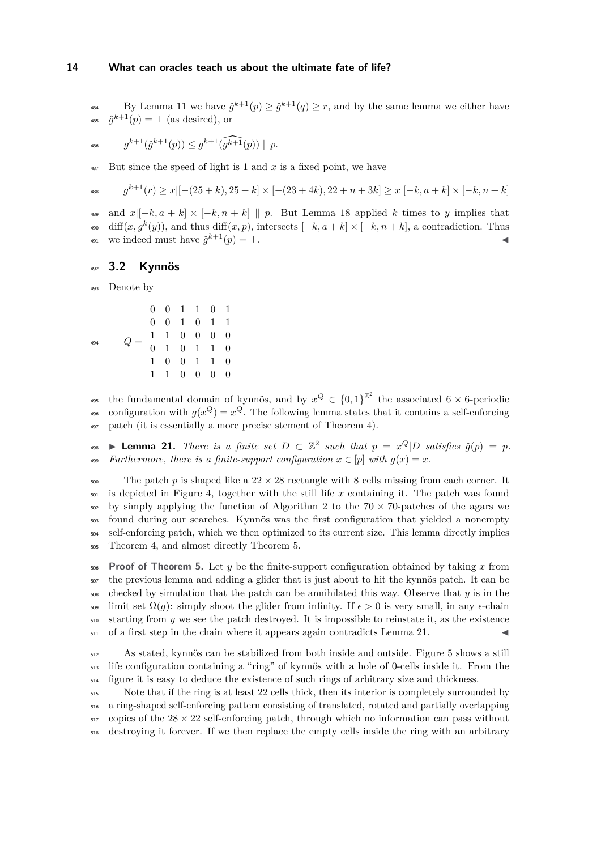<sup>484</sup> By Lemma [11](#page-7-1) we have  $\hat{g}^{k+1}(p) \geq \hat{g}^{k+1}(q) \geq r$ , and by the same lemma we either have <sup>485</sup>  $\hat{g}^{k+1}(p) = \top$  (as desired), or

$$
g^{k+1}(\hat{g}^{k+1}(p)) \leq g^{k+1}(\widehat{g^{k+1}}(p)) \parallel p.
$$

<sup>487</sup> But since the speed of light is 1 and *x* is a fixed point, we have

$$
s^{k+1}(r) \ge x \left[ -(25+k), 25+k \right] \times \left[ -(23+4k), 22+n+3k \right] \ge x \left[ [-k, a+k] \times [-k, n+k] \right]
$$

489 and  $x|[-k, a+k] \times [-k, n+k] \parallel p$ . But Lemma [18](#page-11-1) applied *k* times to *y* implies that  $\partial_{\theta}$  (*g*)), and thus diff $(x, p)$ , intersects  $[-k, a+k] \times [-k, n+k]$ , a contradiction. Thus we indeed must have  $\hat{g}^{k+1}(p) = \top$ .

# <sup>492</sup> **3.2 Kynnös**

<sup>493</sup> Denote by

$$
Q = \begin{bmatrix} 0 & 0 & 1 & 1 & 0 & 1 \\ 0 & 0 & 1 & 0 & 1 & 1 \\ 1 & 0 & 0 & 0 & 0 & 0 \\ 0 & 1 & 0 & 1 & 1 & 0 \\ 1 & 0 & 0 & 1 & 1 & 0 \\ 1 & 1 & 0 & 0 & 0 & 0 \end{bmatrix}
$$

<sup>495</sup> the fundamental domain of kynnös, and by  $x^{Q} \in \{0,1\}^{\mathbb{Z}^2}$  the associated 6 × 6-periodic <sup>496</sup> configuration with  $g(x^Q) = x^Q$ . The following lemma states that it contains a self-enforcing <sup>497</sup> patch (it is essentially a more precise stement of Theorem [4\)](#page-4-0).

<span id="page-13-0"></span> $\bullet$  **Lemma 21.** *There is a finite set D* ⊂  $\mathbb{Z}^2$  *such that*  $p = x^Q|D$  *satisfies*  $\hat{g}(p) = p$ *.* 499 *Furthermore, there is a finite-support configuration*  $x \in [p]$  *with*  $q(x) = x$ .

 $_{500}$  The patch *p* is shaped like a  $22 \times 28$  rectangle with 8 cells missing from each corner. It is depicted in Figure [4,](#page-14-0) together with the still life *x* containing it. The patch was found by simply applying the function of Algorithm [2](#page-10-0) to the 70  $\times$  70-patches of the agars we found during our searches. Kynnös was the first configuration that yielded a nonempty <sub>504</sub> self-enforcing patch, which we then optimized to its current size. This lemma directly implies Theorem [4,](#page-4-0) and almost directly Theorem [5.](#page-4-1)

 **Proof of Theorem [5.](#page-4-1)** Let *y* be the finite-support configuration obtained by taking *x* from the previous lemma and adding a glider that is just about to hit the kynnös patch. It can be checked by simulation that the patch can be annihilated this way. Observe that  $\gamma$  is in the <sup>509</sup> limit set  $\Omega(q)$ : simply shoot the glider from infinity. If  $\epsilon > 0$  is very small, in any  $\epsilon$ -chain starting from *y* we see the patch destroyed. It is impossible to reinstate it, as the existence  $_{511}$  of a first step in the chain where it appears again contradicts Lemma [21.](#page-13-0)

<sup>512</sup> As stated, kynnös can be stabilized from both inside and outside. Figure [5](#page-14-1) shows a still <sup>513</sup> life configuration containing a "ring" of kynnös with a hole of 0-cells inside it. From the <sup>514</sup> figure it is easy to deduce the existence of such rings of arbitrary size and thickness.

 Note that if the ring is at least 22 cells thick, then its interior is completely surrounded by a ring-shaped self-enforcing pattern consisting of translated, rotated and partially overlapping copies of the  $28 \times 22$  self-enforcing patch, through which no information can pass without destroying it forever. If we then replace the empty cells inside the ring with an arbitrary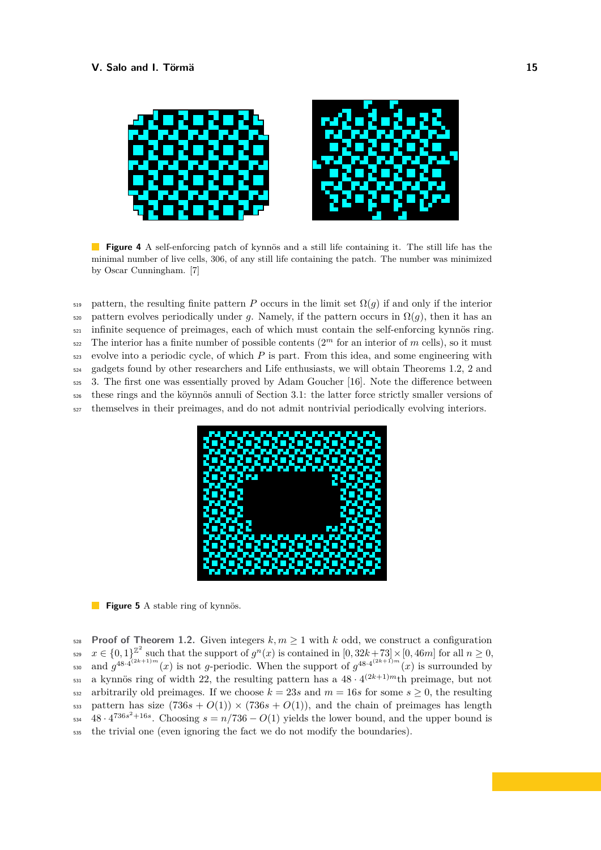<span id="page-14-0"></span>

**Figure 4** A self-enforcing patch of kynnös and a still life containing it. The still life has the minimal number of live cells, 306, of any still life containing the patch. The number was minimized by Oscar Cunningham. [\[7\]](#page-18-9)

 pattern, the resulting finite pattern *P* occurs in the limit set  $\Omega(q)$  if and only if the interior  $\frac{1}{200}$  pattern evolves periodically under *q*. Namely, if the pattern occurs in  $\Omega(q)$ , then it has an infinite sequence of preimages, each of which must contain the self-enforcing kynnös ring.  $\sum_{n=1}^{\infty}$  The interior has a finite number of possible contents  $(2<sup>m</sup>$  for an interior of *m* cells), so it must evolve into a periodic cycle, of which *P* is part. From this idea, and some engineering with gadgets found by other researchers and Life enthusiasts, we will obtain Theorems [1.2,](#page-3-3) [2](#page-4-2) and [3.](#page-4-3) The first one was essentially proved by Adam Goucher [\[16\]](#page-19-9). Note the difference between these rings and the köynnös annuli of Section [3.1:](#page-10-5) the latter force strictly smaller versions of themselves in their preimages, and do not admit nontrivial periodically evolving interiors.

<span id="page-14-1"></span>

**Figure 5** A stable ring of kynnös.

**Proof of Theorem [1.2.](#page-3-3)** Given integers  $k, m \ge 1$  with  $k$  odd, we construct a configuration  $x \in \{0,1\}^{\mathbb{Z}^2}$  such that the support of  $g^n(x)$  is contained in  $[0, 32k+73] \times [0, 46m]$  for all  $n \geq 0$ , and  $g^{48 \cdot 4^{(2k+1)m}}(x)$  is not *g*-periodic. When the support of  $g^{48 \cdot 4^{(2k+1)m}}(x)$  is surrounded by <sup>531</sup> a kynnös ring of width 22, the resulting pattern has a  $48 \cdot 4^{(2k+1)m}$ th preimage, but not 532 arbitrarily old preimages. If we choose  $k = 23s$  and  $m = 16s$  for some  $s \ge 0$ , the resulting 533 pattern has size  $(736s + O(1)) \times (736s + O(1))$ , and the chain of preimages has length  $_{534}$  48 ·  $4^{736s^2+16s}$ . Choosing  $s = n/736 - O(1)$  yields the lower bound, and the upper bound is <sup>535</sup> the trivial one (even ignoring the fact we do not modify the boundaries).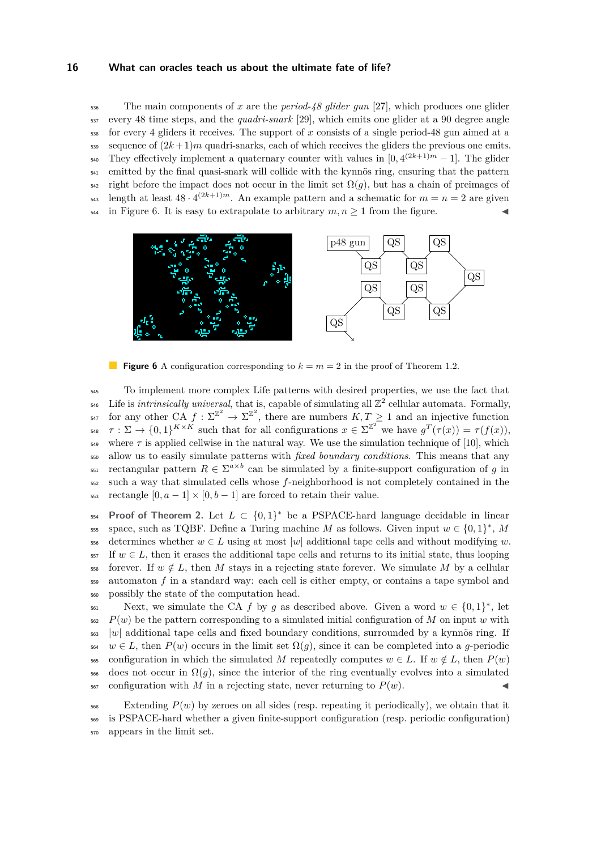<sup>536</sup> The main components of *x* are the *period-48 glider gun* [\[27\]](#page-19-15), which produces one glider <sup>537</sup> every 48 time steps, and the *quadri-snark* [\[29\]](#page-19-16), which emits one glider at a 90 degree angle <sup>538</sup> for every 4 gliders it receives. The support of *x* consists of a single period-48 gun aimed at a  $\frac{1}{539}$  sequence of  $(2k+1)m$  quadri-snarks, each of which receives the gliders the previous one emits. They effectively implement a quaternary counter with values in  $[0, 4^{(2k+1)m} - 1]$ . The glider <sup>541</sup> emitted by the final quasi-snark will collide with the kynnös ring, ensuring that the pattern  $542$  right before the impact does not occur in the limit set  $\Omega(q)$ , but has a chain of preimages of  $\epsilon_{43}$  length at least  $48 \cdot 4^{(2k+1)m}$ . An example pattern and a schematic for  $m = n = 2$  are given <sup>544</sup> in Figure [6.](#page-15-0) It is easy to extrapolate to arbitrary  $m, n \ge 1$  from the figure.

<span id="page-15-0"></span>

**Figure 6** A configuration corresponding to  $k = m = 2$  in the proof of Theorem [1.2.](#page-3-3)

<sup>545</sup> To implement more complex Life patterns with desired properties, we use the fact that  $\frac{1}{546}$  Life is *intrinsically universal*, that is, capable of simulating all  $\mathbb{Z}^2$  cellular automata. Formally, <sup>547</sup> for any other CA  $f: \Sigma^{\mathbb{Z}^2} \to \Sigma^{\mathbb{Z}^2}$ , there are numbers  $K, T \geq 1$  and an injective function  $\tau : \Sigma \to \{0,1\}^{K \times K}$  such that for all configurations  $x \in \Sigma^{\mathbb{Z}^2}$  we have  $g^T(\tau(x)) = \tau(f(x)),$ where  $\tau$  is applied cellwise in the natural way. We use the simulation technique of [\[10\]](#page-18-0), which <sup>550</sup> allow us to easily simulate patterns with *fixed boundary conditions*. This means that any  $F_{551}$  rectangular pattern  $R \in \Sigma^{a \times b}$  can be simulated by a finite-support configuration of *g* in <sup>552</sup> such a way that simulated cells whose *f*-neighborhood is not completely contained in the 553 rectangle  $[0, a-1] \times [0, b-1]$  are forced to retain their value.

**Proof of Theorem [2.](#page-4-2)** Let  $L \subset \{0,1\}^*$  be a PSPACE-hard language decidable in linear sss space, such as TQBF. Define a Turing machine *M* as follows. Given input  $w \in \{0,1\}^*$ , *M* 556 determines whether  $w \in L$  using at most |w| additional tape cells and without modifying w.  $557$  If  $w \in L$ , then it erases the additional tape cells and returns to its initial state, thus looping 558 forever. If  $w \notin L$ , then *M* stays in a rejecting state forever. We simulate *M* by a cellular <sup>559</sup> automaton *f* in a standard way: each cell is either empty, or contains a tape symbol and <sup>560</sup> possibly the state of the computation head.

Next, we simulate the CA *f* by *g* as described above. Given a word  $w \in \{0,1\}^*$ , let  $P(w)$  be the pattern corresponding to a simulated initial configuration of M on input w with <sup>563</sup> |w| additional tape cells and fixed boundary conditions, surrounded by a kynnös ring. If  $564 \text{ } w \in L$ , then  $P(w)$  occurs in the limit set  $\Omega(q)$ , since it can be completed into a *g*-periodic 565 configuration in which the simulated *M* repeatedly computes  $w \in L$ . If  $w \notin L$ , then  $P(w)$  $\frac{1}{566}$  does not occur in  $\Omega(q)$ , since the interior of the ring eventually evolves into a simulated  $567$  configuration with *M* in a rejecting state, never returning to  $P(w)$ .

 $_{568}$  Extending  $P(w)$  by zeroes on all sides (resp. repeating it periodically), we obtain that it <sup>569</sup> is PSPACE-hard whether a given finite-support configuration (resp. periodic configuration) <sup>570</sup> appears in the limit set.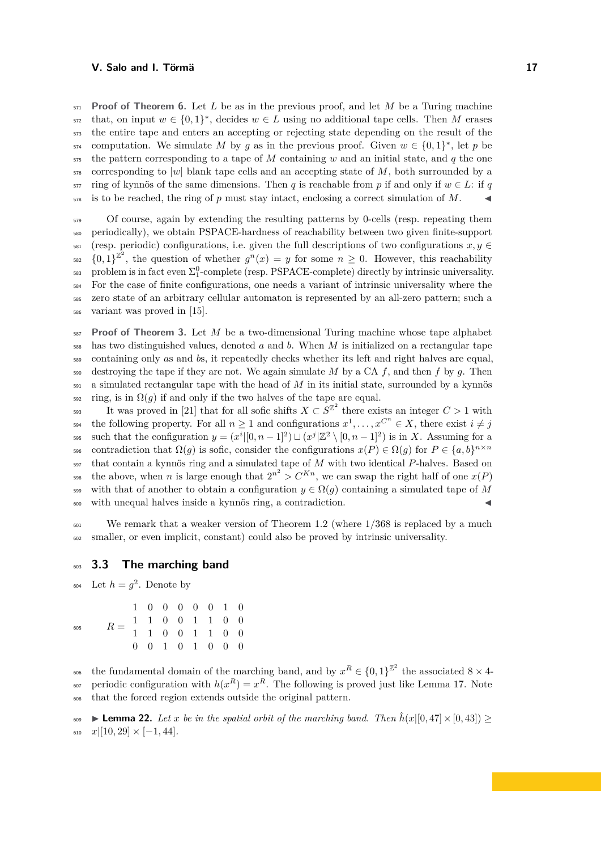**Proof of Theorem [6.](#page-4-4)** Let *L* be as in the previous proof, and let *M* be a Turing machine that, on input  $w \in \{0,1\}^*$ , decides  $w \in L$  using no additional tape cells. Then *M* erases the entire tape and enters an accepting or rejecting state depending on the result of the computation. We simulate *M* by *g* as in the previous proof. Given  $w \in \{0,1\}^*$ , let *p* be the pattern corresponding to a tape of *M* containing *w* and an initial state, and *q* the one corresponding to |*w*| blank tape cells and an accepting state of *M*, both surrounded by a  $\frac{1}{577}$  ring of kynnös of the same dimensions. Then *q* is reachable from *p* if and only if  $w \in L$ : if *q* is to be reached, the ring of p must stay intact, enclosing a correct simulation of M.

 Of course, again by extending the resulting patterns by 0-cells (resp. repeating them periodically), we obtain PSPACE-hardness of reachability between two given finite-support  $\epsilon_{\text{ss1}}$  (resp. periodic) configurations, i.e. given the full descriptions of two configurations  $x, y \in$ <sup>582</sup>  $\{0,1\}^{\mathbb{Z}^2}$ , the question of whether  $g^n(x) = y$  for some  $n \geq 0$ . However, this reachability  $_{583}$  problem is in fact even  $\Sigma_1^0$ -complete (resp. PSPACE-complete) directly by intrinsic universality. For the case of finite configurations, one needs a variant of intrinsic universality where the zero state of an arbitrary cellular automaton is represented by an all-zero pattern; such a variant was proved in [\[15\]](#page-19-17).

 **Proof of Theorem [3.](#page-4-3)** Let *M* be a two-dimensional Turing machine whose tape alphabet has two distinguished values, denoted *a* and *b*. When *M* is initialized on a rectangular tape containing only *a*s and *b*s, it repeatedly checks whether its left and right halves are equal, destroying the tape if they are not. We again simulate *M* by a CA *f*, and then *f* by *g*. Then a simulated rectangular tape with the head of *M* in its initial state, surrounded by a kynnös  $\sin \Omega(g)$  if and only if the two halves of the tape are equal.

It was proved in [\[21\]](#page-19-18) that for all sofic shifts  $X \subset S^{\mathbb{Z}^2}$  there exists an integer  $C > 1$  with the following property. For all  $n \geq 1$  and configurations  $x^1, \ldots, x^{C^n} \in X$ , there exist  $i \neq j$ s95 such that the configuration  $y = (x^i | [0, n-1]^2) \sqcup (x^j | \mathbb{Z}^2 \setminus [0, n-1]^2)$  is in *X*. Assuming for a contradiction that  $\Omega(g)$  is sofic, consider the configurations  $x(P) \in \Omega(g)$  for  $P \in \{a, b\}^{n \times n}$ <sup>597</sup> that contain a kynnös ring and a simulated tape of *M* with two identical *P*-halves. Based on the above, when *n* is large enough that  $2^{n^2} > C^{Kn}$ , we can swap the right half of one  $x(P)$ 599 with that of another to obtain a configuration  $y \in \Omega(g)$  containing a simulated tape of M <sup>600</sup> with unequal halves inside a kynnös ring, a contradiction. J

<sup>601</sup> We remark that a weaker version of Theorem [1.2](#page-3-3) (where 1*/*368 is replaced by a much <sup>602</sup> smaller, or even implicit, constant) could also be proved by intrinsic universality.

# <sup>603</sup> **3.3 The marching band**

<sup>604</sup> Let  $h = g^2$ . Denote by

|     | $R = \begin{array}{cccccc} 1 & 1 & 0 & 0 & 1 & 1 & 0 & 0 \\ 1 & 1 & 0 & 0 & 1 & 1 & 0 & 0 \end{array}$ | 1 0 0 0 0 0 1 0 |  |  |  |
|-----|--------------------------------------------------------------------------------------------------------|-----------------|--|--|--|
|     |                                                                                                        |                 |  |  |  |
| 605 |                                                                                                        |                 |  |  |  |
|     |                                                                                                        | 0 0 1 0 1 0 0 0 |  |  |  |

606 the fundamental domain of the marching band, and by  $x^R \in \{0,1\}^{\mathbb{Z}^2}$  the associated  $8 \times 4$ <sub>607</sub> periodic configuration with  $h(x^R) = x^R$ . The following is proved just like Lemma [17.](#page-10-4) Note <sup>608</sup> that the forced region extends outside the original pattern.

**Example 22.** *Let x be in the spatial orbit of the marching band. Then*  $\hat{h}(x|[0,47] \times [0,43])$  ≥  $\begin{array}{cc} 610 & x \end{array}$   $\begin{bmatrix} 10, 29 \end{bmatrix} \times [-1, 44]$ .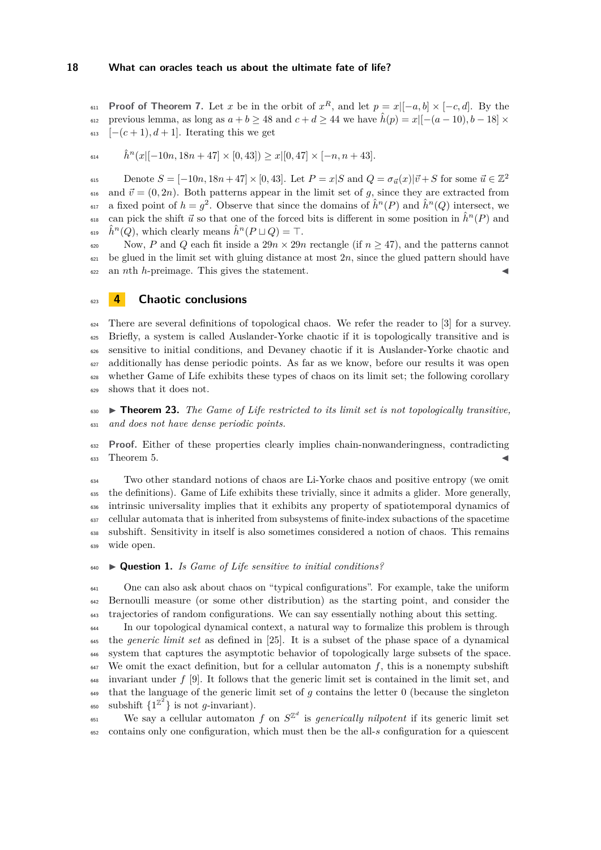**Proof of Theorem [7.](#page-5-1)** Let *x* be in the orbit of  $x^R$ , and let  $p = x|[-a, b] \times [-c, d]$ . By the previous lemma, as long as  $a + b \ge 48$  and  $c + d \ge 44$  we have  $\hat{h}(p) = x \mid [-(a-10), b-18] \times$  $\begin{bmatrix}-(c+1), d+1\end{bmatrix}$ . Iterating this we get

 $\hat{h}^n(x|[-10n, 18n + 47] \times [0, 43]) \geq x|[0, 47] \times [-n, n + 43].$ 

Denote  $S = [-10n, 18n + 47] \times [0, 43]$ . Let  $P = x|S$  and  $Q = \sigma_{\vec{u}}(x)|\vec{v} + S$  for some  $\vec{u} \in \mathbb{Z}^2$  <sup>616</sup> and  $\vec{v} = (0, 2n)$ . Both patterns appear in the limit set of *g*, since they are extracted from  $\alpha$ <sup>17</sup> a fixed point of  $h = g^2$ . Observe that since the domains of  $\hat{h}^n(P)$  and  $\hat{h}^n(Q)$  intersect, we can pick the shift  $\vec{u}$  so that one of the forced bits is different in some position in  $\hat{h}^n(P)$  and  $\hat{h}^n(Q)$ , which clearly means  $\hat{h}^n(P \sqcup Q) = \top$ .

620 Now, *P* and *Q* each fit inside a  $29n \times 29n$  rectangle (if  $n \geq 47$ ), and the patterns cannot  $\epsilon_{21}$  be glued in the limit set with gluing distance at most  $2n$ , since the glued pattern should have an *n*th *h*-preimage. This gives the statement. J

# **4 Chaotic conclusions**

 There are several definitions of topological chaos. We refer the reader to [\[3\]](#page-18-10) for a survey. <sup>625</sup> Briefly, a system is called Auslander-Yorke chaotic if it is topologically transitive and is sensitive to initial conditions, and Devaney chaotic if it is Auslander-Yorke chaotic and additionally has dense periodic points. As far as we know, before our results it was open whether Game of Life exhibits these types of chaos on its limit set; the following corollary shows that it does not.

 I **Theorem 23.** *The Game of Life restricted to its limit set is not topologically transitive, and does not have dense periodic points.*

 **Proof.** Either of these properties clearly implies chain-nonwanderingness, contradicting Theorem [5.](#page-4-1) J

 Two other standard notions of chaos are Li-Yorke chaos and positive entropy (we omit the definitions). Game of Life exhibits these trivially, since it admits a glider. More generally, <sub>636</sub> intrinsic universality implies that it exhibits any property of spatiotemporal dynamics of cellular automata that is inherited from subsystems of finite-index subactions of the spacetime subshift. Sensitivity in itself is also sometimes considered a notion of chaos. This remains wide open.

## I **Question 1.** *Is Game of Life sensitive to initial conditions?*

 One can also ask about chaos on "typical configurations". For example, take the uniform Bernoulli measure (or some other distribution) as the starting point, and consider the trajectories of random configurations. We can say essentially nothing about this setting.

 In our topological dynamical context, a natural way to formalize this problem is through the *generic limit set* as defined in [\[25\]](#page-19-19). It is a subset of the phase space of a dynamical system that captures the asymptotic behavior of topologically large subsets of the space. We omit the exact definition, but for a cellular automaton  $f$ , this is a nonempty subshift invariant under *f* [\[9\]](#page-18-11). It follows that the generic limit set is contained in the limit set, and that the language of the generic limit set of *g* contains the letter 0 (because the singleton <sup>650</sup> subshift  $\{1^{\mathbb{Z}^2}\}\$ is not *g*-invariant).

 $W_{\text{B}}$  We say a cellular automaton *f* on  $S^{\mathbb{Z}^d}$  is *generically nilpotent* if its generic limit set contains only one configuration, which must then be the all-*s* configuration for a quiescent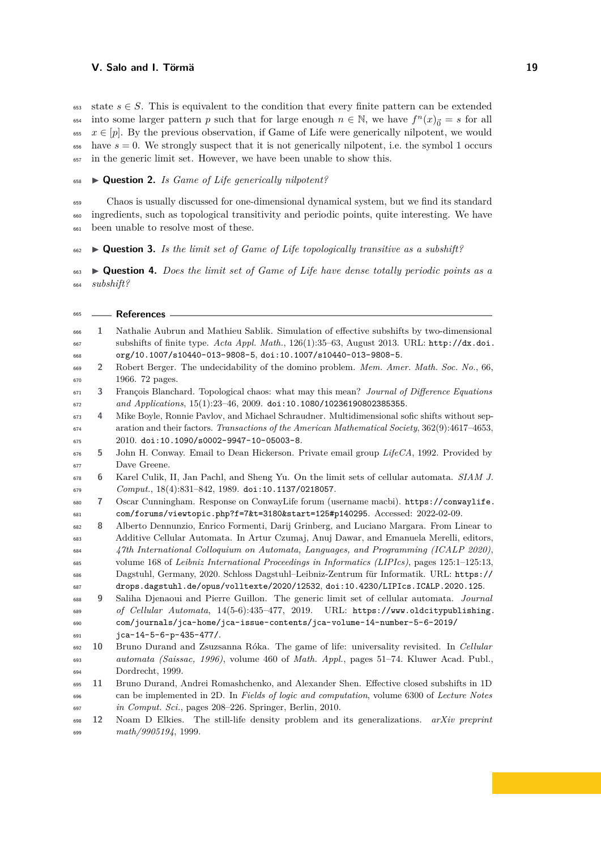653 state  $s \in S$ . This is equivalent to the condition that every finite pattern can be extended into some larger pattern *p* such that for large enough  $n \in \mathbb{N}$ , we have  $f^{n}(x)_{\vec{0}} = s$  for all <sup>655</sup>  $x \in [p]$ . By the previous observation, if Game of Life were generically nilpotent, we would  $\epsilon_{656}$  have  $s = 0$ . We strongly suspect that it is not generically nilpotent, i.e. the symbol 1 occurs in the generic limit set. However, we have been unable to show this.

I **Question 2.** *Is Game of Life generically nilpotent?*

 Chaos is usually discussed for one-dimensional dynamical system, but we find its standard ingredients, such as topological transitivity and periodic points, quite interesting. We have been unable to resolve most of these.

I **Question 3.** *Is the limit set of Game of Life topologically transitive as a subshift?*

 I **Question 4.** *Does the limit set of Game of Life have dense totally periodic points as a subshift?*

<span id="page-18-11"></span><span id="page-18-10"></span><span id="page-18-9"></span><span id="page-18-8"></span><span id="page-18-7"></span><span id="page-18-6"></span><span id="page-18-5"></span><span id="page-18-4"></span><span id="page-18-3"></span><span id="page-18-2"></span><span id="page-18-1"></span><span id="page-18-0"></span>

| 665 |    | <b>References</b>                                                                               |
|-----|----|-------------------------------------------------------------------------------------------------|
| 666 | 1  | Nathalie Aubrun and Mathieu Sablik. Simulation of effective subshifts by two-dimensional        |
| 667 |    | subshifts of finite type. Acta Appl. Math., 126(1):35-63, August 2013. URL: http://dx.doi.      |
| 668 |    | org/10.1007/s10440-013-9808-5, doi:10.1007/s10440-013-9808-5.                                   |
| 669 | 2  | Robert Berger. The undecidability of the domino problem. Mem. Amer. Math. Soc. No., 66,         |
| 670 |    | 1966. 72 pages.                                                                                 |
| 671 | 3  | François Blanchard. Topological chaos: what may this mean? Journal of Difference Equations      |
| 672 |    | and Applications, 15(1):23-46, 2009. doi:10.1080/10236190802385355.                             |
| 673 | 4  | Mike Boyle, Ronnie Pavlov, and Michael Schraudner. Multidimensional sofic shifts without sep-   |
| 674 |    | aration and their factors. Transactions of the American Mathematical Society, 362(9):4617-4653, |
| 675 |    | 2010. doi:10.1090/s0002-9947-10-05003-8.                                                        |
| 676 | 5  | John H. Conway. Email to Dean Hickerson. Private email group LifeCA, 1992. Provided by          |
| 677 |    | Dave Greene.                                                                                    |
| 678 | 6  | Karel Culik, II, Jan Pachl, and Sheng Yu. On the limit sets of cellular automata. SIAM J.       |
| 679 |    | $Comput., 18(4):831-842, 1989.$ doi:10.1137/0218057.                                            |
| 680 | 7  | Oscar Cunningham. Response on ConwayLife forum (username macbi). https://conwaylife.            |
| 681 |    | com/forums/viewtopic.php?f=7&t=3180&start=125#p140295. Accessed: 2022-02-09.                    |
| 682 | 8  | Alberto Dennunzio, Enrico Formenti, Darij Grinberg, and Luciano Margara. From Linear to         |
| 683 |    | Additive Cellular Automata. In Artur Czumaj, Anuj Dawar, and Emanuela Merelli, editors,         |
| 684 |    | 47th International Colloquium on Automata, Languages, and Programming (ICALP 2020),             |
| 685 |    | volume 168 of Leibniz International Proceedings in Informatics (LIPIcs), pages 125:1-125:13,    |
| 686 |    | Dagstuhl, Germany, 2020. Schloss Dagstuhl-Leibniz-Zentrum für Informatik. URL: https://         |
| 687 |    | drops.dagstuhl.de/opus/volltexte/2020/12532, doi:10.4230/LIPIcs.ICALP.2020.125.                 |
| 688 | 9  | Saliha Djenaoui and Pierre Guillon. The generic limit set of cellular automata. Journal         |
| 689 |    | of Cellular Automata, 14(5-6):435-477, 2019. URL: https://www.oldcitypublishing.                |
| 690 |    | com/journals/jca-home/jca-issue-contents/jca-volume-14-number-5-6-2019/                         |
| 691 |    | jca-14-5-6-p-435-477/.                                                                          |
| 692 | 10 | Bruno Durand and Zsuzsanna Róka. The game of life: universality revisited. In Cellular          |
| 693 |    | automata (Saissac, 1996), volume 460 of Math. Appl., pages 51-74. Kluwer Acad. Publ.,           |
| 694 |    | Dordrecht, 1999.                                                                                |
| 695 | 11 | Bruno Durand, Andrei Romashchenko, and Alexander Shen. Effective closed subshifts in 1D         |
| 696 |    | can be implemented in 2D. In Fields of logic and computation, volume 6300 of Lecture Notes      |
| 697 | 12 | in Comput. Sci., pages 208-226. Springer, Berlin, 2010.                                         |
| 698 |    | Noam D Elkies. The still-life density problem and its generalizations.<br>$arXiv$ preprint      |
| 699 |    | math/9905194, 1999.                                                                             |